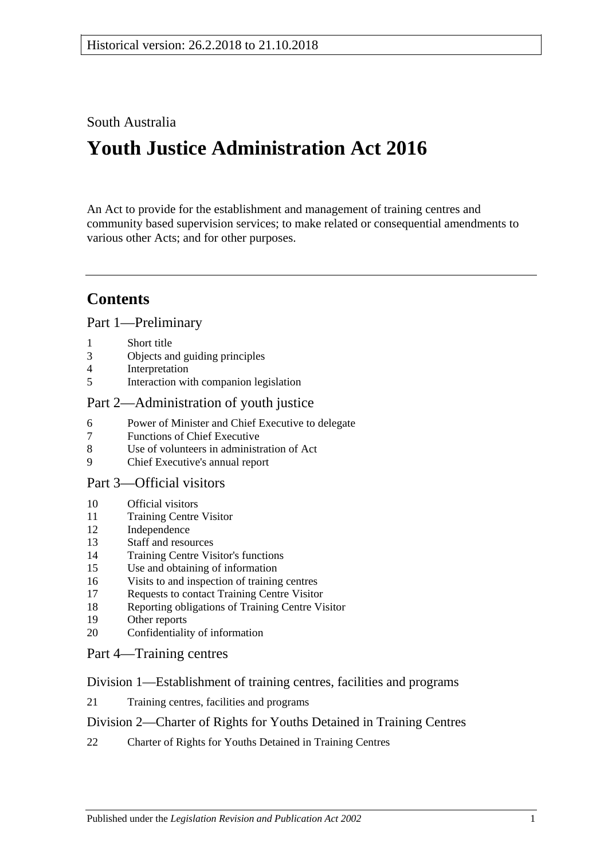## South Australia

# **Youth Justice Administration Act 2016**

An Act to provide for the establishment and management of training centres and community based supervision services; to make related or consequential amendments to various other Acts; and for other purposes.

## **Contents**

#### Part [1—Preliminary](#page-2-0)

- 1 [Short title](#page-2-1)
- 3 [Objects and guiding principles](#page-2-2)
- 4 [Interpretation](#page-3-0)
- 5 [Interaction with companion legislation](#page-5-0)

## Part [2—Administration of youth justice](#page-5-1)

- 6 [Power of Minister and Chief Executive to delegate](#page-5-2)
- 7 [Functions of Chief Executive](#page-6-0)
- 8 [Use of volunteers in administration of Act](#page-6-1)
- 9 [Chief Executive's annual report](#page-6-2)

#### Part [3—Official visitors](#page-6-3)

- 10 [Official visitors](#page-6-4)
- 11 [Training Centre Visitor](#page-7-0)
- 12 [Independence](#page-8-0)
- 13 [Staff and resources](#page-8-1)
- 14 [Training Centre Visitor's functions](#page-8-2)
- 15 [Use and obtaining of information](#page-9-0)
- 16 [Visits to and inspection of training centres](#page-9-1)
- 17 [Requests to contact Training Centre Visitor](#page-10-0)
- 18 [Reporting obligations of Training Centre Visitor](#page-10-1)
- 19 [Other reports](#page-10-2)
- 20 [Confidentiality of information](#page-11-0)

#### Part [4—Training centres](#page-11-1)

#### Division [1—Establishment of training centres, facilities and programs](#page-11-2)

21 [Training centres, facilities and programs](#page-11-3)

#### Division [2—Charter of Rights for Youths Detained in Training Centres](#page-11-4)

22 [Charter of Rights for Youths Detained in Training Centres](#page-11-5)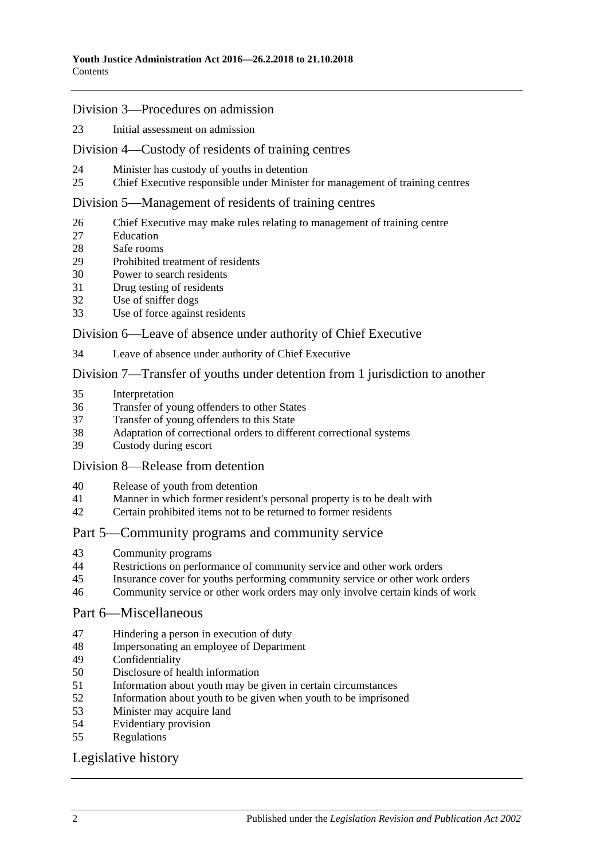#### Division [3—Procedures on admission](#page-12-0)

[Initial assessment on admission](#page-12-1)

#### Division [4—Custody of residents of training centres](#page-14-0)

- [Minister has custody of youths in detention](#page-14-1)
- [Chief Executive responsible under Minister for management of training centres](#page-14-2)

#### Division [5—Management of residents of training centres](#page-14-3)

- [Chief Executive may make rules relating to management of training centre](#page-14-4)
- [Education](#page-14-5)
- [Safe rooms](#page-15-0)
- [Prohibited treatment of residents](#page-16-0)
- [Power to search residents](#page-17-0)
- [Drug testing of residents](#page-18-0)
- [Use of sniffer dogs](#page-19-0)
- [Use of force against residents](#page-19-1)

#### Division [6—Leave of absence under authority of Chief Executive](#page-20-0)

[Leave of absence under authority of Chief Executive](#page-20-1)

#### Division [7—Transfer of youths under detention from 1 jurisdiction to another](#page-21-0)

- [Interpretation](#page-21-1)
- [Transfer of young offenders to other States](#page-22-0)
- [Transfer of young offenders to this State](#page-23-0)
- [Adaptation of correctional orders to different correctional systems](#page-24-0)<br>39 Custody during escort
- [Custody during escort](#page-24-1)

#### Division [8—Release from detention](#page-24-2)

- [Release of youth from detention](#page-24-3)
- [Manner in which former resident's personal property is to be dealt with](#page-25-0)
- [Certain prohibited items not to be returned to former residents](#page-25-1)

#### Part [5—Community programs and community service](#page-25-2)

- [Community programs](#page-25-3)
- [Restrictions on performance of community service and other work orders](#page-26-0)
- [Insurance cover for youths performing community service or other work orders](#page-27-0)
- [Community service or other work orders may only involve certain kinds of work](#page-27-1)

#### Part [6—Miscellaneous](#page-27-2)

- [Hindering a person in execution of duty](#page-27-3)
- [Impersonating an employee of Department](#page-28-0)
- [Confidentiality](#page-28-1)
- [Disclosure of health information](#page-28-2)
- [Information about youth may be given in certain circumstances](#page-29-0)
- [Information about youth to be given when youth to be imprisoned](#page-29-1)
- [Minister may acquire land](#page-30-0)
- [Evidentiary provision](#page-30-1)
- [Regulations](#page-30-2)

#### [Legislative history](#page-32-0)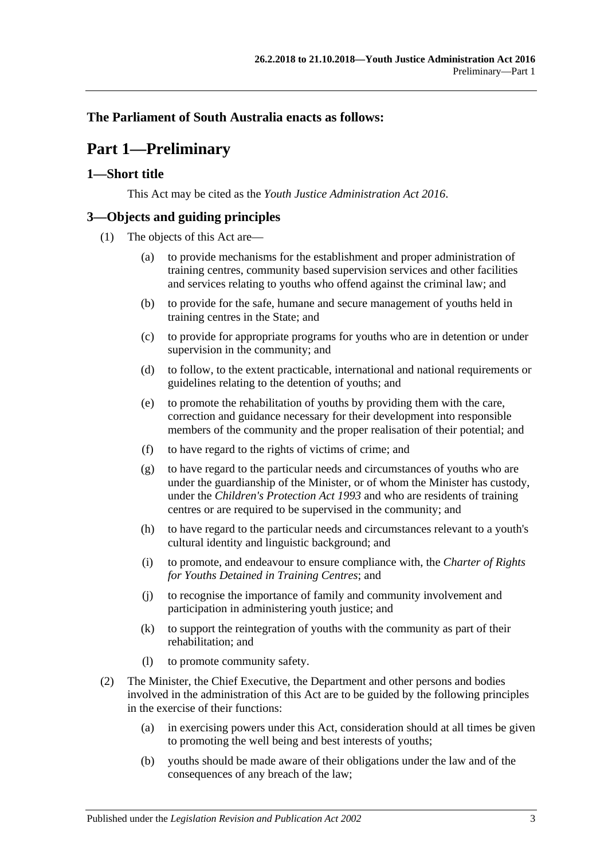## <span id="page-2-0"></span>**The Parliament of South Australia enacts as follows:**

## **Part 1—Preliminary**

## <span id="page-2-1"></span>**1—Short title**

This Act may be cited as the *Youth Justice Administration Act 2016*.

## <span id="page-2-2"></span>**3—Objects and guiding principles**

- (1) The objects of this Act are—
	- (a) to provide mechanisms for the establishment and proper administration of training centres, community based supervision services and other facilities and services relating to youths who offend against the criminal law; and
	- (b) to provide for the safe, humane and secure management of youths held in training centres in the State; and
	- (c) to provide for appropriate programs for youths who are in detention or under supervision in the community; and
	- (d) to follow, to the extent practicable, international and national requirements or guidelines relating to the detention of youths; and
	- (e) to promote the rehabilitation of youths by providing them with the care, correction and guidance necessary for their development into responsible members of the community and the proper realisation of their potential; and
	- (f) to have regard to the rights of victims of crime; and
	- (g) to have regard to the particular needs and circumstances of youths who are under the guardianship of the Minister, or of whom the Minister has custody, under the *[Children's Protection Act](http://www.legislation.sa.gov.au/index.aspx?action=legref&type=act&legtitle=Childrens%20Protection%20Act%201993) 1993* and who are residents of training centres or are required to be supervised in the community; and
	- (h) to have regard to the particular needs and circumstances relevant to a youth's cultural identity and linguistic background; and
	- (i) to promote, and endeavour to ensure compliance with, the *Charter of Rights for Youths Detained in Training Centres*; and
	- (j) to recognise the importance of family and community involvement and participation in administering youth justice; and
	- (k) to support the reintegration of youths with the community as part of their rehabilitation; and
	- (l) to promote community safety.
- <span id="page-2-3"></span>(2) The Minister, the Chief Executive, the Department and other persons and bodies involved in the administration of this Act are to be guided by the following principles in the exercise of their functions:
	- (a) in exercising powers under this Act, consideration should at all times be given to promoting the well being and best interests of youths;
	- (b) youths should be made aware of their obligations under the law and of the consequences of any breach of the law;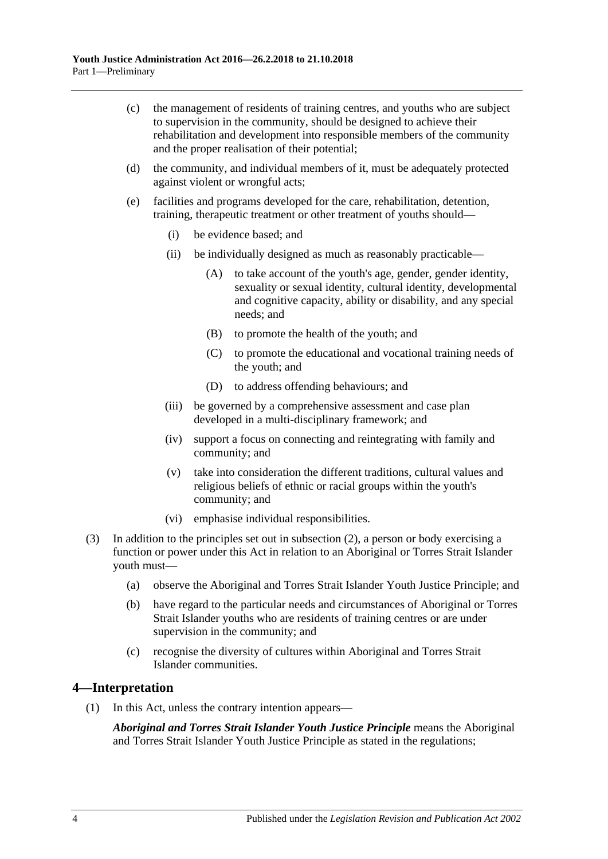- (c) the management of residents of training centres, and youths who are subject to supervision in the community, should be designed to achieve their rehabilitation and development into responsible members of the community and the proper realisation of their potential;
- (d) the community, and individual members of it, must be adequately protected against violent or wrongful acts;
- (e) facilities and programs developed for the care, rehabilitation, detention, training, therapeutic treatment or other treatment of youths should—
	- (i) be evidence based; and
	- (ii) be individually designed as much as reasonably practicable—
		- (A) to take account of the youth's age, gender, gender identity, sexuality or sexual identity, cultural identity, developmental and cognitive capacity, ability or disability, and any special needs; and
		- (B) to promote the health of the youth; and
		- (C) to promote the educational and vocational training needs of the youth; and
		- (D) to address offending behaviours; and
	- (iii) be governed by a comprehensive assessment and case plan developed in a multi-disciplinary framework; and
	- (iv) support a focus on connecting and reintegrating with family and community; and
	- (v) take into consideration the different traditions, cultural values and religious beliefs of ethnic or racial groups within the youth's community; and
	- (vi) emphasise individual responsibilities.
- (3) In addition to the principles set out in [subsection](#page-2-3) (2), a person or body exercising a function or power under this Act in relation to an Aboriginal or Torres Strait Islander youth must—
	- (a) observe the Aboriginal and Torres Strait Islander Youth Justice Principle; and
	- (b) have regard to the particular needs and circumstances of Aboriginal or Torres Strait Islander youths who are residents of training centres or are under supervision in the community; and
	- (c) recognise the diversity of cultures within Aboriginal and Torres Strait Islander communities.

#### <span id="page-3-0"></span>**4—Interpretation**

(1) In this Act, unless the contrary intention appears—

*Aboriginal and Torres Strait Islander Youth Justice Principle* means the Aboriginal and Torres Strait Islander Youth Justice Principle as stated in the regulations;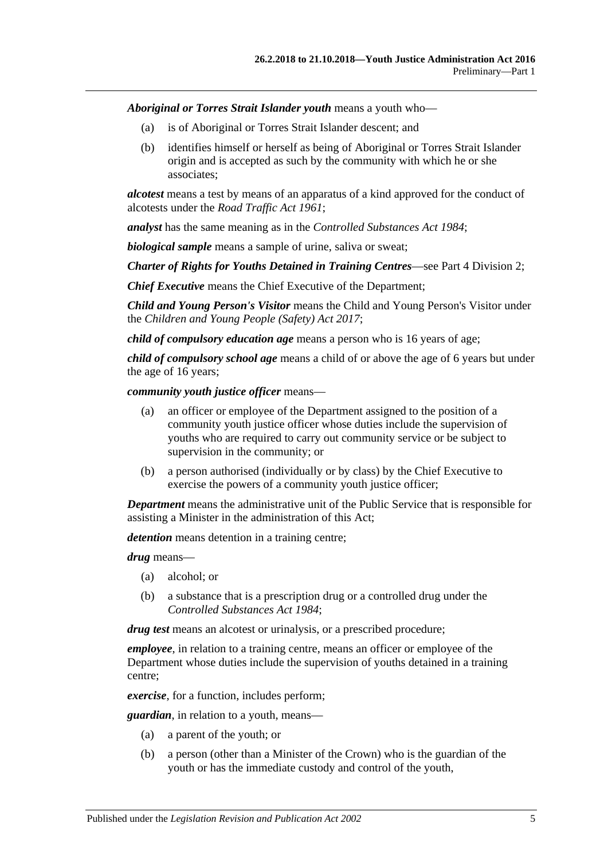*Aboriginal or Torres Strait Islander youth* means a youth who—

- (a) is of Aboriginal or Torres Strait Islander descent; and
- (b) identifies himself or herself as being of Aboriginal or Torres Strait Islander origin and is accepted as such by the community with which he or she associates;

*alcotest* means a test by means of an apparatus of a kind approved for the conduct of alcotests under the *[Road Traffic Act](http://www.legislation.sa.gov.au/index.aspx?action=legref&type=act&legtitle=Road%20Traffic%20Act%201961) 1961*;

*analyst* has the same meaning as in the *[Controlled Substances Act](http://www.legislation.sa.gov.au/index.aspx?action=legref&type=act&legtitle=Controlled%20Substances%20Act%201984) 1984*;

*biological sample* means a sample of urine, saliva or sweat;

*Charter of Rights for Youths Detained in Training Centres*—see Part 4 [Division](#page-11-4) 2;

*Chief Executive* means the Chief Executive of the Department;

*Child and Young Person's Visitor* means the Child and Young Person's Visitor under the *[Children and Young People \(Safety\) Act](http://www.legislation.sa.gov.au/index.aspx?action=legref&type=act&legtitle=Children%20and%20Young%20People%20(Safety)%20Act%202017) 2017*;

*child of compulsory education age* means a person who is 16 years of age;

*child of compulsory school age* means a child of or above the age of 6 years but under the age of 16 years;

*community youth justice officer* means—

- (a) an officer or employee of the Department assigned to the position of a community youth justice officer whose duties include the supervision of youths who are required to carry out community service or be subject to supervision in the community; or
- (b) a person authorised (individually or by class) by the Chief Executive to exercise the powers of a community youth justice officer;

*Department* means the administrative unit of the Public Service that is responsible for assisting a Minister in the administration of this Act;

*detention* means detention in a training centre;

*drug* means—

- (a) alcohol; or
- (b) a substance that is a prescription drug or a controlled drug under the *[Controlled Substances Act](http://www.legislation.sa.gov.au/index.aspx?action=legref&type=act&legtitle=Controlled%20Substances%20Act%201984) 1984*;

*drug test* means an alcotest or urinalysis, or a prescribed procedure;

*employee*, in relation to a training centre, means an officer or employee of the Department whose duties include the supervision of youths detained in a training centre;

*exercise*, for a function, includes perform;

*guardian*, in relation to a youth, means—

- (a) a parent of the youth; or
- (b) a person (other than a Minister of the Crown) who is the guardian of the youth or has the immediate custody and control of the youth,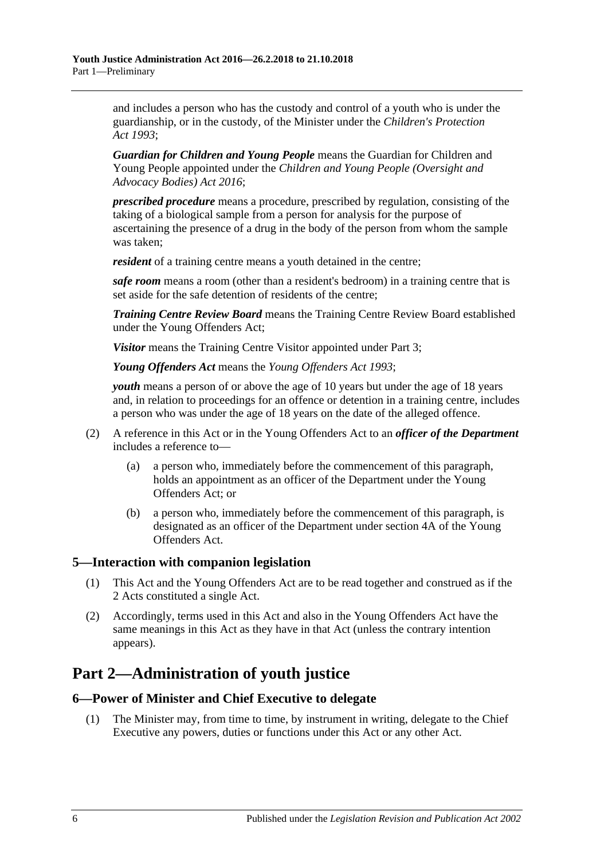and includes a person who has the custody and control of a youth who is under the guardianship, or in the custody, of the Minister under the *[Children's Protection](http://www.legislation.sa.gov.au/index.aspx?action=legref&type=act&legtitle=Childrens%20Protection%20Act%201993)  Act [1993](http://www.legislation.sa.gov.au/index.aspx?action=legref&type=act&legtitle=Childrens%20Protection%20Act%201993)*;

*Guardian for Children and Young People* means the Guardian for Children and Young People appointed under the *[Children and Young People \(Oversight and](http://www.legislation.sa.gov.au/index.aspx?action=legref&type=act&legtitle=Children%20and%20Young%20People%20(Oversight%20and%20Advocacy%20Bodies)%20Act%202016)  [Advocacy Bodies\) Act](http://www.legislation.sa.gov.au/index.aspx?action=legref&type=act&legtitle=Children%20and%20Young%20People%20(Oversight%20and%20Advocacy%20Bodies)%20Act%202016) 2016*;

*prescribed procedure* means a procedure, prescribed by regulation, consisting of the taking of a biological sample from a person for analysis for the purpose of ascertaining the presence of a drug in the body of the person from whom the sample was taken;

*resident* of a training centre means a youth detained in the centre;

*safe room* means a room (other than a resident's bedroom) in a training centre that is set aside for the safe detention of residents of the centre;

*Training Centre Review Board* means the Training Centre Review Board established under the Young Offenders Act;

*Visitor* means the Training Centre Visitor appointed unde[r Part](#page-6-3) 3;

*Young Offenders Act* means the *[Young Offenders Act](http://www.legislation.sa.gov.au/index.aspx?action=legref&type=act&legtitle=Young%20Offenders%20Act%201993) 1993*;

*youth* means a person of or above the age of 10 years but under the age of 18 years and, in relation to proceedings for an offence or detention in a training centre, includes a person who was under the age of 18 years on the date of the alleged offence.

- (2) A reference in this Act or in the Young Offenders Act to an *officer of the Department* includes a reference to—
	- (a) a person who, immediately before the commencement of this paragraph, holds an appointment as an officer of the Department under the Young Offenders Act; or
	- (b) a person who, immediately before the commencement of this paragraph, is designated as an officer of the Department under section 4A of the Young Offenders Act.

#### <span id="page-5-0"></span>**5—Interaction with companion legislation**

- (1) This Act and the Young Offenders Act are to be read together and construed as if the 2 Acts constituted a single Act.
- (2) Accordingly, terms used in this Act and also in the Young Offenders Act have the same meanings in this Act as they have in that Act (unless the contrary intention appears).

## <span id="page-5-1"></span>**Part 2—Administration of youth justice**

#### <span id="page-5-2"></span>**6—Power of Minister and Chief Executive to delegate**

(1) The Minister may, from time to time, by instrument in writing, delegate to the Chief Executive any powers, duties or functions under this Act or any other Act.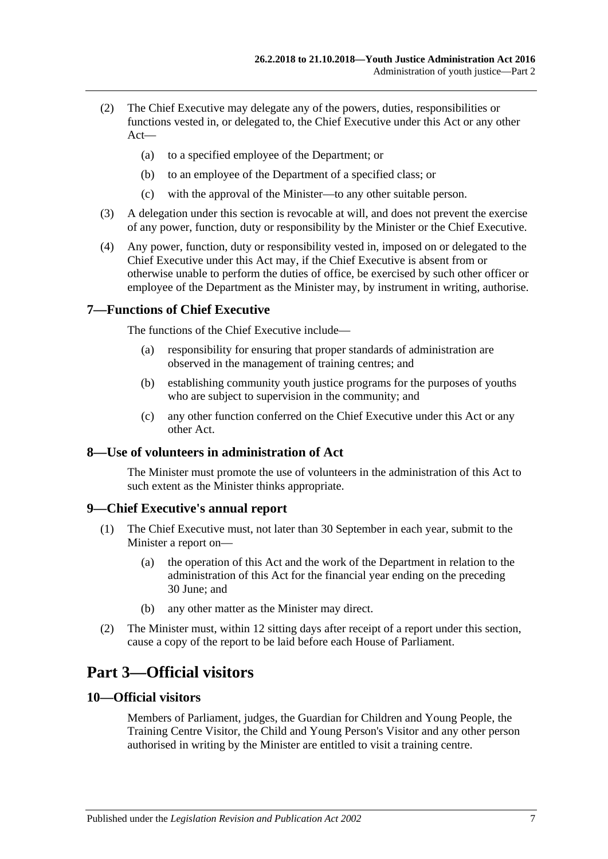- (2) The Chief Executive may delegate any of the powers, duties, responsibilities or functions vested in, or delegated to, the Chief Executive under this Act or any other Act—
	- (a) to a specified employee of the Department; or
	- (b) to an employee of the Department of a specified class; or
	- (c) with the approval of the Minister—to any other suitable person.
- (3) A delegation under this section is revocable at will, and does not prevent the exercise of any power, function, duty or responsibility by the Minister or the Chief Executive.
- (4) Any power, function, duty or responsibility vested in, imposed on or delegated to the Chief Executive under this Act may, if the Chief Executive is absent from or otherwise unable to perform the duties of office, be exercised by such other officer or employee of the Department as the Minister may, by instrument in writing, authorise.

#### <span id="page-6-0"></span>**7—Functions of Chief Executive**

The functions of the Chief Executive include—

- (a) responsibility for ensuring that proper standards of administration are observed in the management of training centres; and
- (b) establishing community youth justice programs for the purposes of youths who are subject to supervision in the community; and
- (c) any other function conferred on the Chief Executive under this Act or any other Act.

### <span id="page-6-1"></span>**8—Use of volunteers in administration of Act**

The Minister must promote the use of volunteers in the administration of this Act to such extent as the Minister thinks appropriate.

#### <span id="page-6-2"></span>**9—Chief Executive's annual report**

- (1) The Chief Executive must, not later than 30 September in each year, submit to the Minister a report on—
	- (a) the operation of this Act and the work of the Department in relation to the administration of this Act for the financial year ending on the preceding 30 June; and
	- (b) any other matter as the Minister may direct.
- (2) The Minister must, within 12 sitting days after receipt of a report under this section, cause a copy of the report to be laid before each House of Parliament.

## <span id="page-6-3"></span>**Part 3—Official visitors**

#### <span id="page-6-4"></span>**10—Official visitors**

Members of Parliament, judges, the Guardian for Children and Young People, the Training Centre Visitor, the Child and Young Person's Visitor and any other person authorised in writing by the Minister are entitled to visit a training centre.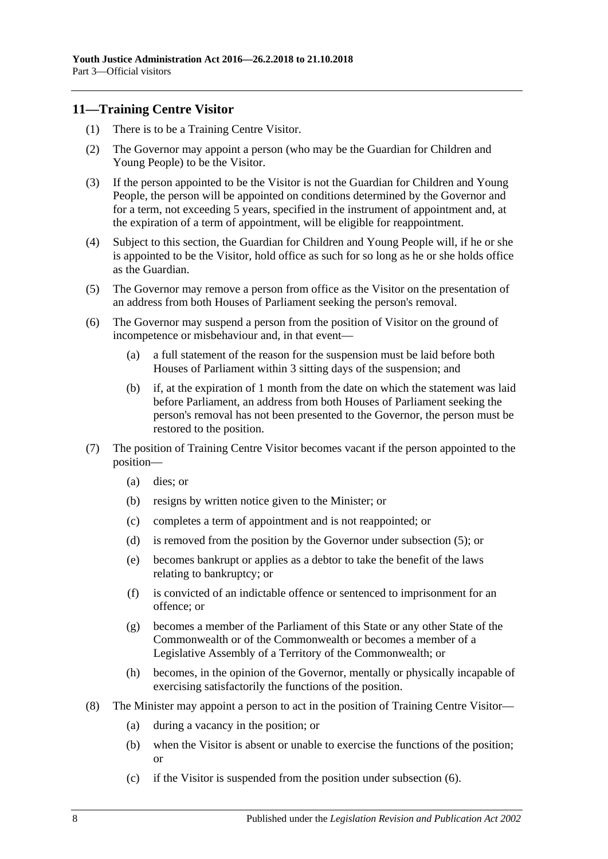### <span id="page-7-0"></span>**11—Training Centre Visitor**

- (1) There is to be a Training Centre Visitor.
- (2) The Governor may appoint a person (who may be the Guardian for Children and Young People) to be the Visitor.
- (3) If the person appointed to be the Visitor is not the Guardian for Children and Young People, the person will be appointed on conditions determined by the Governor and for a term, not exceeding 5 years, specified in the instrument of appointment and, at the expiration of a term of appointment, will be eligible for reappointment.
- (4) Subject to this section, the Guardian for Children and Young People will, if he or she is appointed to be the Visitor, hold office as such for so long as he or she holds office as the Guardian.
- <span id="page-7-1"></span>(5) The Governor may remove a person from office as the Visitor on the presentation of an address from both Houses of Parliament seeking the person's removal.
- <span id="page-7-2"></span>(6) The Governor may suspend a person from the position of Visitor on the ground of incompetence or misbehaviour and, in that event—
	- (a) a full statement of the reason for the suspension must be laid before both Houses of Parliament within 3 sitting days of the suspension; and
	- (b) if, at the expiration of 1 month from the date on which the statement was laid before Parliament, an address from both Houses of Parliament seeking the person's removal has not been presented to the Governor, the person must be restored to the position.
- (7) The position of Training Centre Visitor becomes vacant if the person appointed to the position—
	- (a) dies; or
	- (b) resigns by written notice given to the Minister; or
	- (c) completes a term of appointment and is not reappointed; or
	- (d) is removed from the position by the Governor under [subsection](#page-7-1) (5); or
	- (e) becomes bankrupt or applies as a debtor to take the benefit of the laws relating to bankruptcy; or
	- (f) is convicted of an indictable offence or sentenced to imprisonment for an offence; or
	- (g) becomes a member of the Parliament of this State or any other State of the Commonwealth or of the Commonwealth or becomes a member of a Legislative Assembly of a Territory of the Commonwealth; or
	- (h) becomes, in the opinion of the Governor, mentally or physically incapable of exercising satisfactorily the functions of the position.
- (8) The Minister may appoint a person to act in the position of Training Centre Visitor—
	- (a) during a vacancy in the position; or
	- (b) when the Visitor is absent or unable to exercise the functions of the position; or
	- (c) if the Visitor is suspended from the position under [subsection](#page-7-2) (6).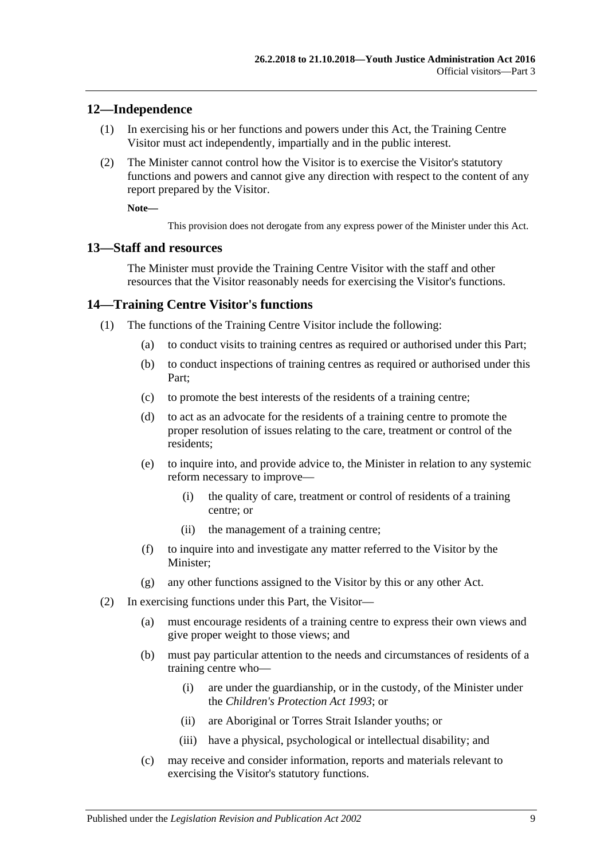#### <span id="page-8-0"></span>**12—Independence**

- (1) In exercising his or her functions and powers under this Act, the Training Centre Visitor must act independently, impartially and in the public interest.
- (2) The Minister cannot control how the Visitor is to exercise the Visitor's statutory functions and powers and cannot give any direction with respect to the content of any report prepared by the Visitor.

**Note—**

This provision does not derogate from any express power of the Minister under this Act.

#### <span id="page-8-1"></span>**13—Staff and resources**

The Minister must provide the Training Centre Visitor with the staff and other resources that the Visitor reasonably needs for exercising the Visitor's functions.

#### <span id="page-8-2"></span>**14—Training Centre Visitor's functions**

- (1) The functions of the Training Centre Visitor include the following:
	- (a) to conduct visits to training centres as required or authorised under this Part;
	- (b) to conduct inspections of training centres as required or authorised under this Part;
	- (c) to promote the best interests of the residents of a training centre;
	- (d) to act as an advocate for the residents of a training centre to promote the proper resolution of issues relating to the care, treatment or control of the residents;
	- (e) to inquire into, and provide advice to, the Minister in relation to any systemic reform necessary to improve—
		- (i) the quality of care, treatment or control of residents of a training centre; or
		- (ii) the management of a training centre;
	- (f) to inquire into and investigate any matter referred to the Visitor by the Minister;
	- (g) any other functions assigned to the Visitor by this or any other Act.
- (2) In exercising functions under this Part, the Visitor—
	- (a) must encourage residents of a training centre to express their own views and give proper weight to those views; and
	- (b) must pay particular attention to the needs and circumstances of residents of a training centre who—
		- (i) are under the guardianship, or in the custody, of the Minister under the *[Children's Protection Act](http://www.legislation.sa.gov.au/index.aspx?action=legref&type=act&legtitle=Childrens%20Protection%20Act%201993) 1993*; or
		- (ii) are Aboriginal or Torres Strait Islander youths; or
		- (iii) have a physical, psychological or intellectual disability; and
	- (c) may receive and consider information, reports and materials relevant to exercising the Visitor's statutory functions.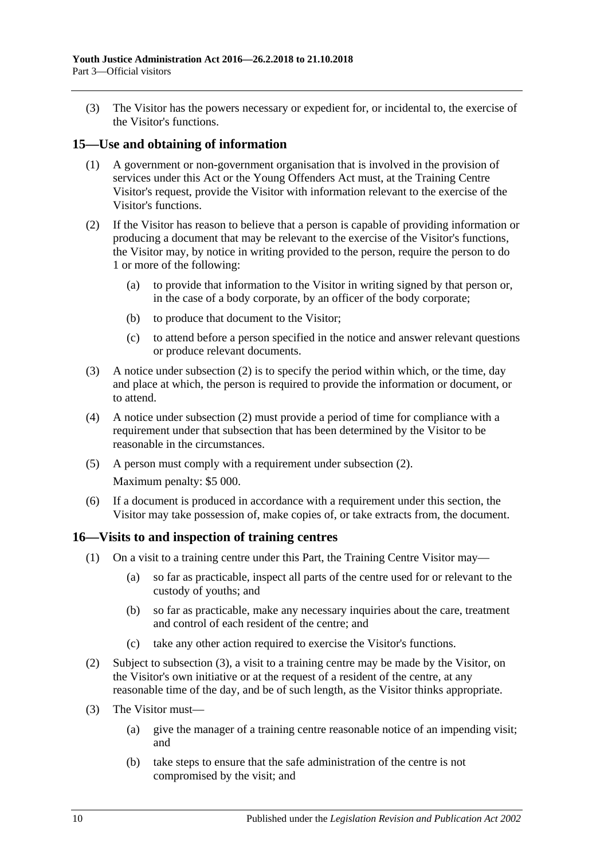(3) The Visitor has the powers necessary or expedient for, or incidental to, the exercise of the Visitor's functions.

### <span id="page-9-0"></span>**15—Use and obtaining of information**

- (1) A government or non-government organisation that is involved in the provision of services under this Act or the Young Offenders Act must, at the Training Centre Visitor's request, provide the Visitor with information relevant to the exercise of the Visitor's functions.
- <span id="page-9-2"></span>(2) If the Visitor has reason to believe that a person is capable of providing information or producing a document that may be relevant to the exercise of the Visitor's functions, the Visitor may, by notice in writing provided to the person, require the person to do 1 or more of the following:
	- (a) to provide that information to the Visitor in writing signed by that person or, in the case of a body corporate, by an officer of the body corporate;
	- (b) to produce that document to the Visitor;
	- (c) to attend before a person specified in the notice and answer relevant questions or produce relevant documents.
- (3) A notice under [subsection](#page-9-2) (2) is to specify the period within which, or the time, day and place at which, the person is required to provide the information or document, or to attend.
- (4) A notice under [subsection](#page-9-2) (2) must provide a period of time for compliance with a requirement under that subsection that has been determined by the Visitor to be reasonable in the circumstances.
- (5) A person must comply with a requirement under [subsection](#page-9-2) (2). Maximum penalty: \$5 000.
- (6) If a document is produced in accordance with a requirement under this section, the Visitor may take possession of, make copies of, or take extracts from, the document.

#### <span id="page-9-1"></span>**16—Visits to and inspection of training centres**

- (1) On a visit to a training centre under this Part, the Training Centre Visitor may—
	- (a) so far as practicable, inspect all parts of the centre used for or relevant to the custody of youths; and
	- (b) so far as practicable, make any necessary inquiries about the care, treatment and control of each resident of the centre; and
	- (c) take any other action required to exercise the Visitor's functions.
- (2) Subject to [subsection](#page-9-3) (3), a visit to a training centre may be made by the Visitor, on the Visitor's own initiative or at the request of a resident of the centre, at any reasonable time of the day, and be of such length, as the Visitor thinks appropriate.
- <span id="page-9-4"></span><span id="page-9-3"></span>(3) The Visitor must—
	- (a) give the manager of a training centre reasonable notice of an impending visit; and
	- (b) take steps to ensure that the safe administration of the centre is not compromised by the visit; and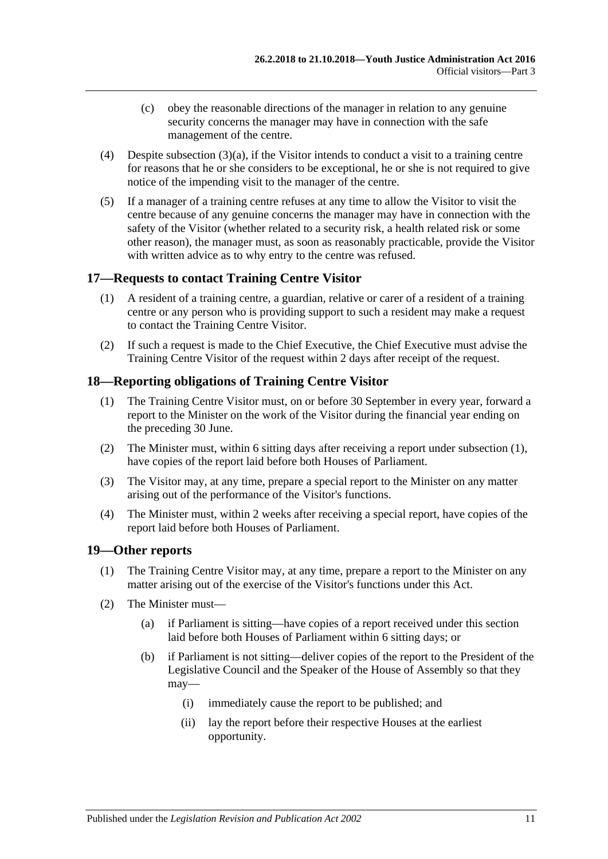- (c) obey the reasonable directions of the manager in relation to any genuine security concerns the manager may have in connection with the safe management of the centre.
- (4) Despite [subsection](#page-9-4) (3)(a), if the Visitor intends to conduct a visit to a training centre for reasons that he or she considers to be exceptional, he or she is not required to give notice of the impending visit to the manager of the centre.
- (5) If a manager of a training centre refuses at any time to allow the Visitor to visit the centre because of any genuine concerns the manager may have in connection with the safety of the Visitor (whether related to a security risk, a health related risk or some other reason), the manager must, as soon as reasonably practicable, provide the Visitor with written advice as to why entry to the centre was refused.

## <span id="page-10-0"></span>**17—Requests to contact Training Centre Visitor**

- (1) A resident of a training centre, a guardian, relative or carer of a resident of a training centre or any person who is providing support to such a resident may make a request to contact the Training Centre Visitor.
- (2) If such a request is made to the Chief Executive, the Chief Executive must advise the Training Centre Visitor of the request within 2 days after receipt of the request.

## <span id="page-10-3"></span><span id="page-10-1"></span>**18—Reporting obligations of Training Centre Visitor**

- (1) The Training Centre Visitor must, on or before 30 September in every year, forward a report to the Minister on the work of the Visitor during the financial year ending on the preceding 30 June.
- (2) The Minister must, within 6 sitting days after receiving a report under [subsection](#page-10-3) (1), have copies of the report laid before both Houses of Parliament.
- (3) The Visitor may, at any time, prepare a special report to the Minister on any matter arising out of the performance of the Visitor's functions.
- (4) The Minister must, within 2 weeks after receiving a special report, have copies of the report laid before both Houses of Parliament.

#### <span id="page-10-2"></span>**19—Other reports**

- (1) The Training Centre Visitor may, at any time, prepare a report to the Minister on any matter arising out of the exercise of the Visitor's functions under this Act.
- <span id="page-10-4"></span>(2) The Minister must—
	- (a) if Parliament is sitting—have copies of a report received under this section laid before both Houses of Parliament within 6 sitting days; or
	- (b) if Parliament is not sitting—deliver copies of the report to the President of the Legislative Council and the Speaker of the House of Assembly so that they may—
		- (i) immediately cause the report to be published; and
		- (ii) lay the report before their respective Houses at the earliest opportunity.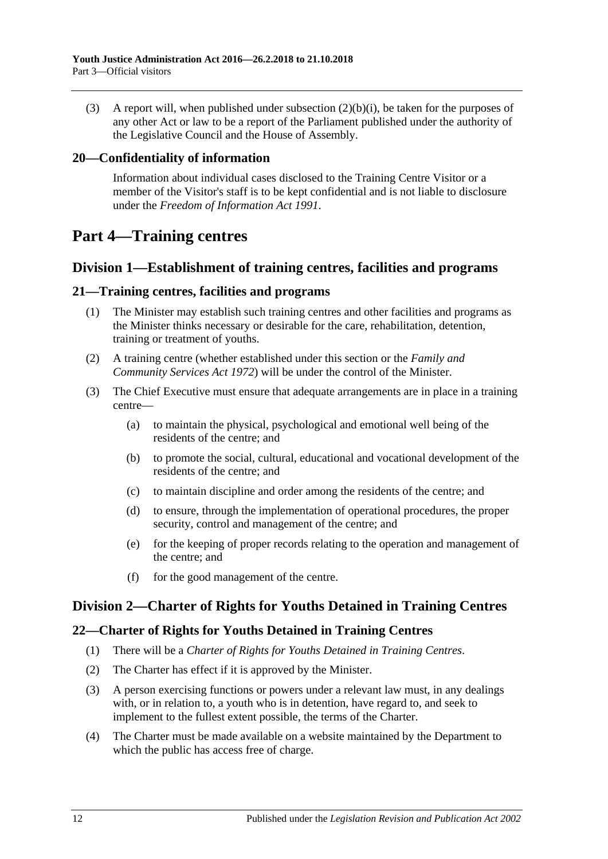(3) A report will, when published under [subsection](#page-10-4) (2)(b)(i), be taken for the purposes of any other Act or law to be a report of the Parliament published under the authority of the Legislative Council and the House of Assembly.

## <span id="page-11-0"></span>**20—Confidentiality of information**

Information about individual cases disclosed to the Training Centre Visitor or a member of the Visitor's staff is to be kept confidential and is not liable to disclosure under the *[Freedom of Information Act](http://www.legislation.sa.gov.au/index.aspx?action=legref&type=act&legtitle=Freedom%20of%20Information%20Act%201991) 1991*.

## <span id="page-11-1"></span>**Part 4—Training centres**

## <span id="page-11-2"></span>**Division 1—Establishment of training centres, facilities and programs**

#### <span id="page-11-3"></span>**21—Training centres, facilities and programs**

- (1) The Minister may establish such training centres and other facilities and programs as the Minister thinks necessary or desirable for the care, rehabilitation, detention, training or treatment of youths.
- (2) A training centre (whether established under this section or the *[Family and](http://www.legislation.sa.gov.au/index.aspx?action=legref&type=act&legtitle=Family%20and%20Community%20Services%20Act%201972)  [Community Services Act](http://www.legislation.sa.gov.au/index.aspx?action=legref&type=act&legtitle=Family%20and%20Community%20Services%20Act%201972) 1972*) will be under the control of the Minister.
- (3) The Chief Executive must ensure that adequate arrangements are in place in a training centre—
	- (a) to maintain the physical, psychological and emotional well being of the residents of the centre; and
	- (b) to promote the social, cultural, educational and vocational development of the residents of the centre; and
	- (c) to maintain discipline and order among the residents of the centre; and
	- (d) to ensure, through the implementation of operational procedures, the proper security, control and management of the centre; and
	- (e) for the keeping of proper records relating to the operation and management of the centre; and
	- (f) for the good management of the centre.

## <span id="page-11-4"></span>**Division 2—Charter of Rights for Youths Detained in Training Centres**

#### <span id="page-11-5"></span>**22—Charter of Rights for Youths Detained in Training Centres**

- (1) There will be a *Charter of Rights for Youths Detained in Training Centres*.
- (2) The Charter has effect if it is approved by the Minister.
- (3) A person exercising functions or powers under a relevant law must, in any dealings with, or in relation to, a youth who is in detention, have regard to, and seek to implement to the fullest extent possible, the terms of the Charter.
- (4) The Charter must be made available on a website maintained by the Department to which the public has access free of charge.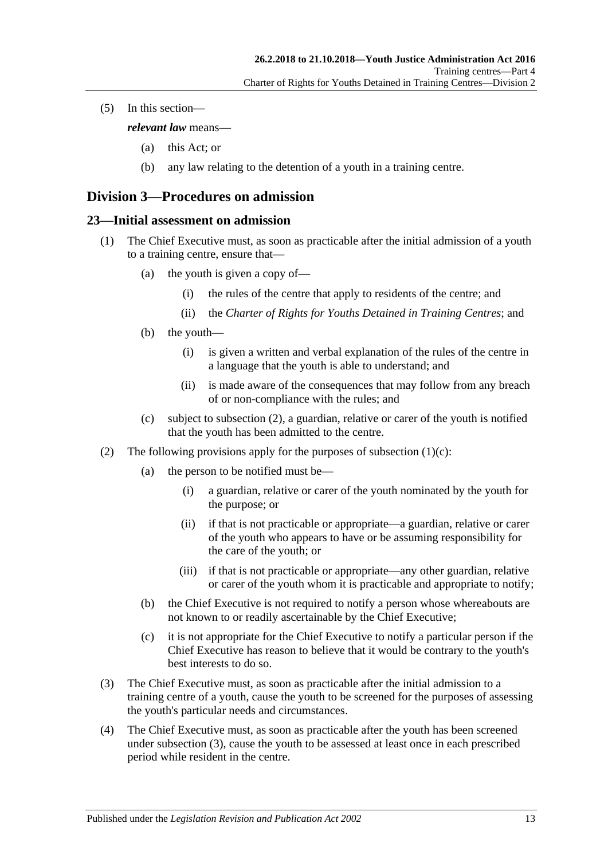(5) In this section—

*relevant law* means—

- (a) this Act; or
- (b) any law relating to the detention of a youth in a training centre.

## <span id="page-12-0"></span>**Division 3—Procedures on admission**

#### <span id="page-12-1"></span>**23—Initial assessment on admission**

- (1) The Chief Executive must, as soon as practicable after the initial admission of a youth to a training centre, ensure that—
	- (a) the youth is given a copy of—
		- (i) the rules of the centre that apply to residents of the centre; and
		- (ii) the *Charter of Rights for Youths Detained in Training Centres*; and
	- (b) the youth—
		- (i) is given a written and verbal explanation of the rules of the centre in a language that the youth is able to understand; and
		- (ii) is made aware of the consequences that may follow from any breach of or non-compliance with the rules; and
	- (c) subject to [subsection](#page-12-2) (2), a guardian, relative or carer of the youth is notified that the youth has been admitted to the centre.
- <span id="page-12-3"></span><span id="page-12-2"></span>(2) The following provisions apply for the purposes of [subsection](#page-12-3)  $(1)(c)$ :
	- (a) the person to be notified must be—
		- (i) a guardian, relative or carer of the youth nominated by the youth for the purpose; or
		- (ii) if that is not practicable or appropriate—a guardian, relative or carer of the youth who appears to have or be assuming responsibility for the care of the youth; or
		- (iii) if that is not practicable or appropriate—any other guardian, relative or carer of the youth whom it is practicable and appropriate to notify;
	- (b) the Chief Executive is not required to notify a person whose whereabouts are not known to or readily ascertainable by the Chief Executive;
	- (c) it is not appropriate for the Chief Executive to notify a particular person if the Chief Executive has reason to believe that it would be contrary to the youth's best interests to do so.
- <span id="page-12-4"></span>(3) The Chief Executive must, as soon as practicable after the initial admission to a training centre of a youth, cause the youth to be screened for the purposes of assessing the youth's particular needs and circumstances.
- <span id="page-12-5"></span>(4) The Chief Executive must, as soon as practicable after the youth has been screened under [subsection](#page-12-4) (3), cause the youth to be assessed at least once in each prescribed period while resident in the centre.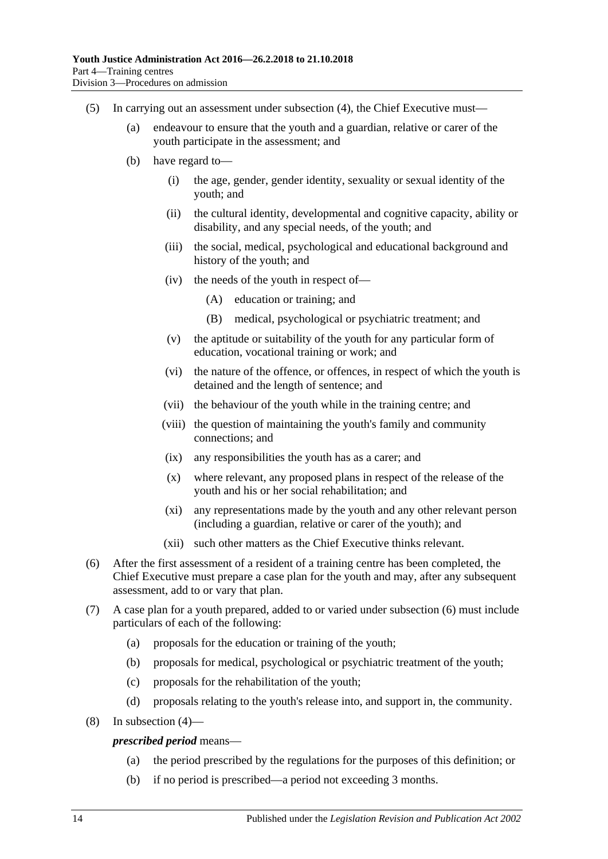- (5) In carrying out an assessment under [subsection](#page-12-5) (4), the Chief Executive must—
	- (a) endeavour to ensure that the youth and a guardian, relative or carer of the youth participate in the assessment; and
	- (b) have regard to—
		- (i) the age, gender, gender identity, sexuality or sexual identity of the youth; and
		- (ii) the cultural identity, developmental and cognitive capacity, ability or disability, and any special needs, of the youth; and
		- (iii) the social, medical, psychological and educational background and history of the youth; and
		- (iv) the needs of the youth in respect of—
			- (A) education or training; and
			- (B) medical, psychological or psychiatric treatment; and
		- (v) the aptitude or suitability of the youth for any particular form of education, vocational training or work; and
		- (vi) the nature of the offence, or offences, in respect of which the youth is detained and the length of sentence; and
		- (vii) the behaviour of the youth while in the training centre; and
		- (viii) the question of maintaining the youth's family and community connections; and
		- (ix) any responsibilities the youth has as a carer; and
		- (x) where relevant, any proposed plans in respect of the release of the youth and his or her social rehabilitation; and
		- (xi) any representations made by the youth and any other relevant person (including a guardian, relative or carer of the youth); and
		- (xii) such other matters as the Chief Executive thinks relevant.
- <span id="page-13-0"></span>(6) After the first assessment of a resident of a training centre has been completed, the Chief Executive must prepare a case plan for the youth and may, after any subsequent assessment, add to or vary that plan.
- (7) A case plan for a youth prepared, added to or varied under [subsection](#page-13-0) (6) must include particulars of each of the following:
	- (a) proposals for the education or training of the youth;
	- (b) proposals for medical, psychological or psychiatric treatment of the youth;
	- (c) proposals for the rehabilitation of the youth;
	- (d) proposals relating to the youth's release into, and support in, the community.
- (8) In [subsection](#page-12-5) (4)—

#### *prescribed period* means—

- (a) the period prescribed by the regulations for the purposes of this definition; or
- (b) if no period is prescribed—a period not exceeding 3 months.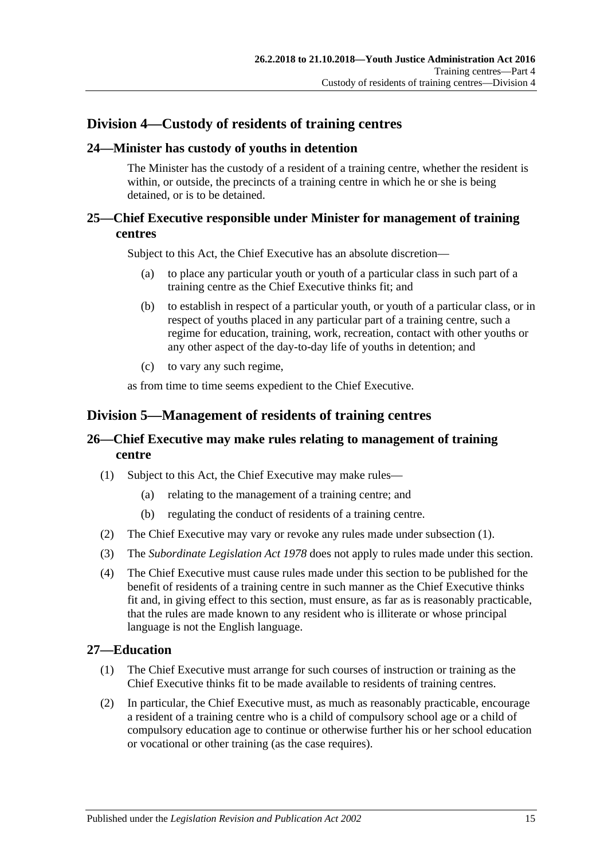## <span id="page-14-0"></span>**Division 4—Custody of residents of training centres**

## <span id="page-14-1"></span>**24—Minister has custody of youths in detention**

The Minister has the custody of a resident of a training centre, whether the resident is within, or outside, the precincts of a training centre in which he or she is being detained, or is to be detained.

## <span id="page-14-2"></span>**25—Chief Executive responsible under Minister for management of training centres**

Subject to this Act, the Chief Executive has an absolute discretion—

- (a) to place any particular youth or youth of a particular class in such part of a training centre as the Chief Executive thinks fit; and
- (b) to establish in respect of a particular youth, or youth of a particular class, or in respect of youths placed in any particular part of a training centre, such a regime for education, training, work, recreation, contact with other youths or any other aspect of the day-to-day life of youths in detention; and
- (c) to vary any such regime,

as from time to time seems expedient to the Chief Executive.

## <span id="page-14-3"></span>**Division 5—Management of residents of training centres**

## <span id="page-14-4"></span>**26—Chief Executive may make rules relating to management of training centre**

- <span id="page-14-6"></span>(1) Subject to this Act, the Chief Executive may make rules—
	- (a) relating to the management of a training centre; and
	- (b) regulating the conduct of residents of a training centre.
- (2) The Chief Executive may vary or revoke any rules made under [subsection](#page-14-6) (1).
- (3) The *[Subordinate Legislation Act](http://www.legislation.sa.gov.au/index.aspx?action=legref&type=act&legtitle=Subordinate%20Legislation%20Act%201978) 1978* does not apply to rules made under this section.
- (4) The Chief Executive must cause rules made under this section to be published for the benefit of residents of a training centre in such manner as the Chief Executive thinks fit and, in giving effect to this section, must ensure, as far as is reasonably practicable, that the rules are made known to any resident who is illiterate or whose principal language is not the English language.

## <span id="page-14-5"></span>**27—Education**

- (1) The Chief Executive must arrange for such courses of instruction or training as the Chief Executive thinks fit to be made available to residents of training centres.
- (2) In particular, the Chief Executive must, as much as reasonably practicable, encourage a resident of a training centre who is a child of compulsory school age or a child of compulsory education age to continue or otherwise further his or her school education or vocational or other training (as the case requires).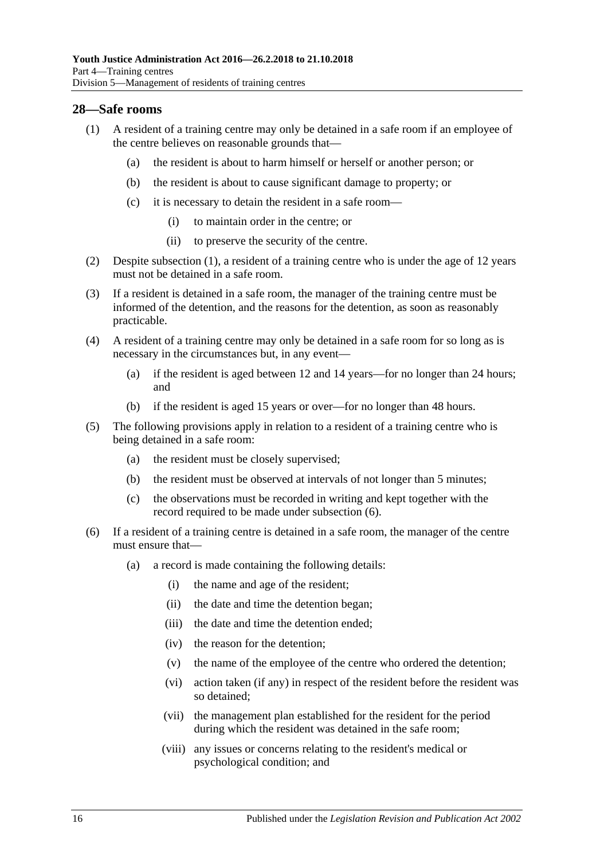#### <span id="page-15-1"></span><span id="page-15-0"></span>**28—Safe rooms**

- (1) A resident of a training centre may only be detained in a safe room if an employee of the centre believes on reasonable grounds that—
	- (a) the resident is about to harm himself or herself or another person; or
	- (b) the resident is about to cause significant damage to property; or
	- (c) it is necessary to detain the resident in a safe room—
		- (i) to maintain order in the centre; or
		- (ii) to preserve the security of the centre.
- (2) Despite [subsection](#page-15-1) (1), a resident of a training centre who is under the age of 12 years must not be detained in a safe room.
- (3) If a resident is detained in a safe room, the manager of the training centre must be informed of the detention, and the reasons for the detention, as soon as reasonably practicable.
- (4) A resident of a training centre may only be detained in a safe room for so long as is necessary in the circumstances but, in any event—
	- (a) if the resident is aged between 12 and 14 years—for no longer than 24 hours; and
	- (b) if the resident is aged 15 years or over—for no longer than 48 hours.
- (5) The following provisions apply in relation to a resident of a training centre who is being detained in a safe room:
	- (a) the resident must be closely supervised;
	- (b) the resident must be observed at intervals of not longer than 5 minutes;
	- (c) the observations must be recorded in writing and kept together with the record required to be made under [subsection](#page-15-2) (6).
- <span id="page-15-2"></span>(6) If a resident of a training centre is detained in a safe room, the manager of the centre must ensure that—
	- (a) a record is made containing the following details:
		- (i) the name and age of the resident;
		- (ii) the date and time the detention began;
		- (iii) the date and time the detention ended;
		- (iv) the reason for the detention;
		- (v) the name of the employee of the centre who ordered the detention;
		- (vi) action taken (if any) in respect of the resident before the resident was so detained;
		- (vii) the management plan established for the resident for the period during which the resident was detained in the safe room;
		- (viii) any issues or concerns relating to the resident's medical or psychological condition; and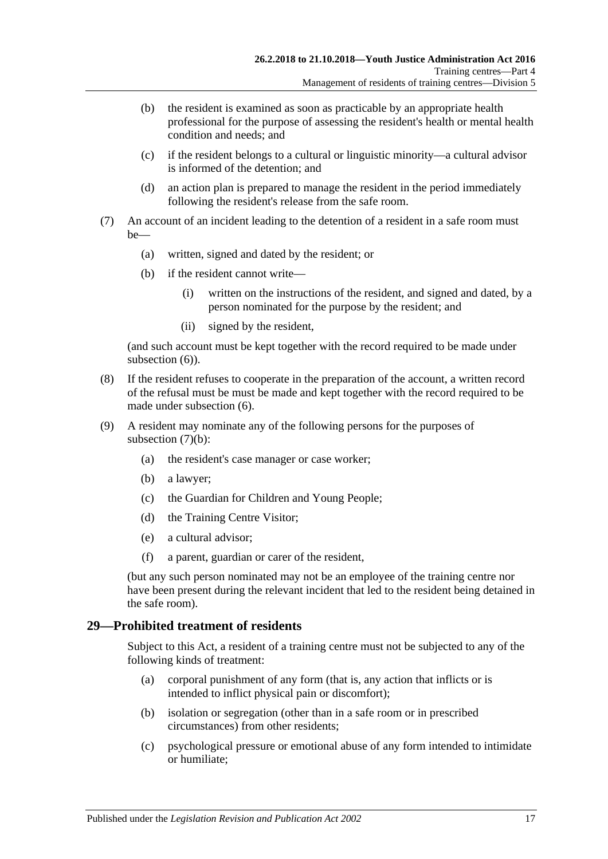- (b) the resident is examined as soon as practicable by an appropriate health professional for the purpose of assessing the resident's health or mental health condition and needs; and
- (c) if the resident belongs to a cultural or linguistic minority—a cultural advisor is informed of the detention; and
- (d) an action plan is prepared to manage the resident in the period immediately following the resident's release from the safe room.
- <span id="page-16-1"></span>(7) An account of an incident leading to the detention of a resident in a safe room must be—
	- (a) written, signed and dated by the resident; or
	- (b) if the resident cannot write—
		- (i) written on the instructions of the resident, and signed and dated, by a person nominated for the purpose by the resident; and
		- (ii) signed by the resident,

(and such account must be kept together with the record required to be made under [subsection](#page-15-2)  $(6)$ ).

- (8) If the resident refuses to cooperate in the preparation of the account, a written record of the refusal must be must be made and kept together with the record required to be made under [subsection](#page-15-2) (6).
- (9) A resident may nominate any of the following persons for the purposes of [subsection](#page-16-1)  $(7)(b)$ :
	- (a) the resident's case manager or case worker;
	- (b) a lawyer;
	- (c) the Guardian for Children and Young People;
	- (d) the Training Centre Visitor;
	- (e) a cultural advisor;
	- (f) a parent, guardian or carer of the resident,

(but any such person nominated may not be an employee of the training centre nor have been present during the relevant incident that led to the resident being detained in the safe room).

#### <span id="page-16-0"></span>**29—Prohibited treatment of residents**

Subject to this Act, a resident of a training centre must not be subjected to any of the following kinds of treatment:

- (a) corporal punishment of any form (that is, any action that inflicts or is intended to inflict physical pain or discomfort);
- (b) isolation or segregation (other than in a safe room or in prescribed circumstances) from other residents;
- (c) psychological pressure or emotional abuse of any form intended to intimidate or humiliate;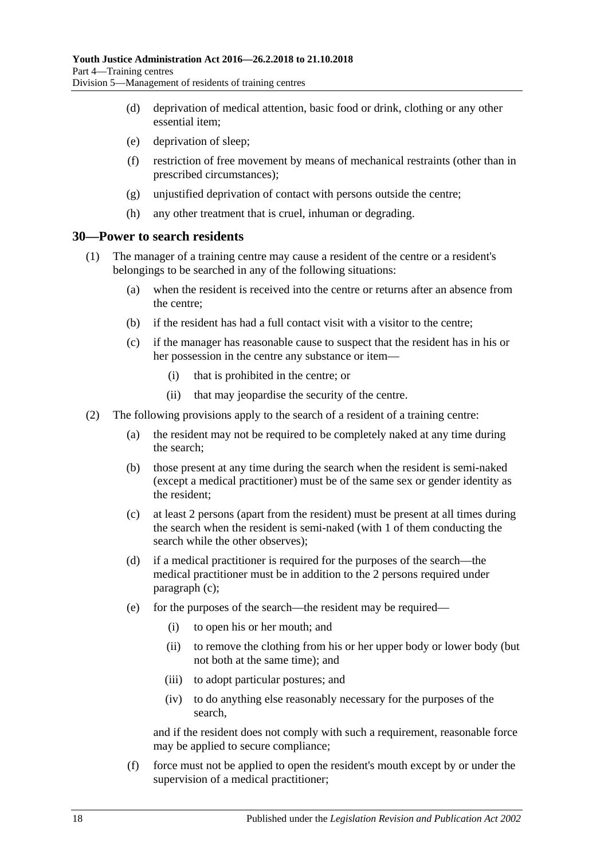- (d) deprivation of medical attention, basic food or drink, clothing or any other essential item;
- (e) deprivation of sleep;
- (f) restriction of free movement by means of mechanical restraints (other than in prescribed circumstances);
- (g) unjustified deprivation of contact with persons outside the centre;
- (h) any other treatment that is cruel, inhuman or degrading.

#### <span id="page-17-0"></span>**30—Power to search residents**

- (1) The manager of a training centre may cause a resident of the centre or a resident's belongings to be searched in any of the following situations:
	- (a) when the resident is received into the centre or returns after an absence from the centre;
	- (b) if the resident has had a full contact visit with a visitor to the centre;
	- (c) if the manager has reasonable cause to suspect that the resident has in his or her possession in the centre any substance or item—
		- (i) that is prohibited in the centre; or
		- (ii) that may jeopardise the security of the centre.
- <span id="page-17-2"></span><span id="page-17-1"></span>(2) The following provisions apply to the search of a resident of a training centre:
	- (a) the resident may not be required to be completely naked at any time during the search;
	- (b) those present at any time during the search when the resident is semi-naked (except a medical practitioner) must be of the same sex or gender identity as the resident;
	- (c) at least 2 persons (apart from the resident) must be present at all times during the search when the resident is semi-naked (with 1 of them conducting the search while the other observes);
	- (d) if a medical practitioner is required for the purposes of the search—the medical practitioner must be in addition to the 2 persons required under [paragraph](#page-17-1) (c);
	- (e) for the purposes of the search—the resident may be required—
		- (i) to open his or her mouth; and
		- (ii) to remove the clothing from his or her upper body or lower body (but not both at the same time); and
		- (iii) to adopt particular postures; and
		- (iv) to do anything else reasonably necessary for the purposes of the search,

and if the resident does not comply with such a requirement, reasonable force may be applied to secure compliance;

(f) force must not be applied to open the resident's mouth except by or under the supervision of a medical practitioner;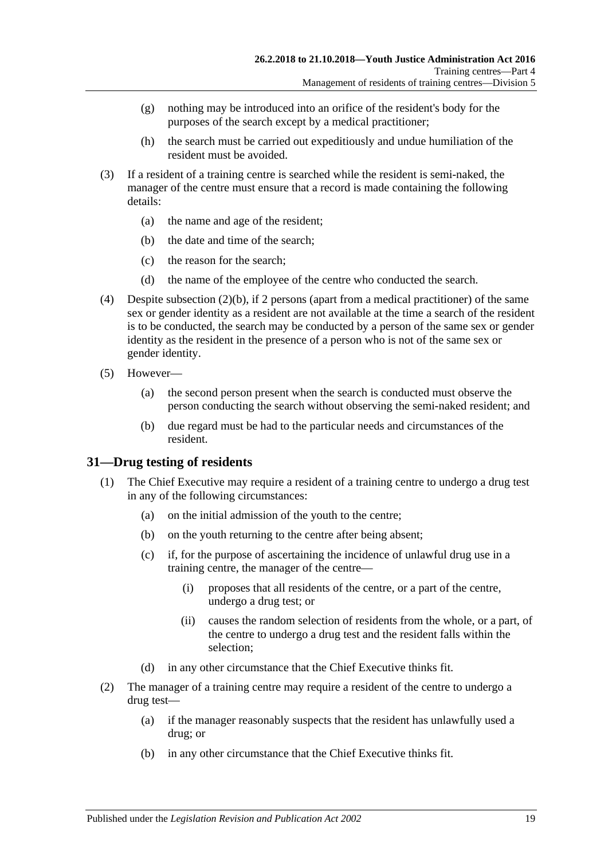- (g) nothing may be introduced into an orifice of the resident's body for the purposes of the search except by a medical practitioner;
- (h) the search must be carried out expeditiously and undue humiliation of the resident must be avoided.
- (3) If a resident of a training centre is searched while the resident is semi-naked, the manager of the centre must ensure that a record is made containing the following details:
	- (a) the name and age of the resident;
	- (b) the date and time of the search;
	- (c) the reason for the search;
	- (d) the name of the employee of the centre who conducted the search.
- (4) Despite [subsection](#page-17-2) (2)(b), if 2 persons (apart from a medical practitioner) of the same sex or gender identity as a resident are not available at the time a search of the resident is to be conducted, the search may be conducted by a person of the same sex or gender identity as the resident in the presence of a person who is not of the same sex or gender identity.
- (5) However—
	- (a) the second person present when the search is conducted must observe the person conducting the search without observing the semi-naked resident; and
	- (b) due regard must be had to the particular needs and circumstances of the resident.

#### <span id="page-18-0"></span>**31—Drug testing of residents**

- (1) The Chief Executive may require a resident of a training centre to undergo a drug test in any of the following circumstances:
	- (a) on the initial admission of the youth to the centre;
	- (b) on the youth returning to the centre after being absent;
	- (c) if, for the purpose of ascertaining the incidence of unlawful drug use in a training centre, the manager of the centre—
		- (i) proposes that all residents of the centre, or a part of the centre, undergo a drug test; or
		- (ii) causes the random selection of residents from the whole, or a part, of the centre to undergo a drug test and the resident falls within the selection;
	- (d) in any other circumstance that the Chief Executive thinks fit.
- <span id="page-18-2"></span><span id="page-18-1"></span>(2) The manager of a training centre may require a resident of the centre to undergo a drug test—
	- (a) if the manager reasonably suspects that the resident has unlawfully used a drug; or
	- (b) in any other circumstance that the Chief Executive thinks fit.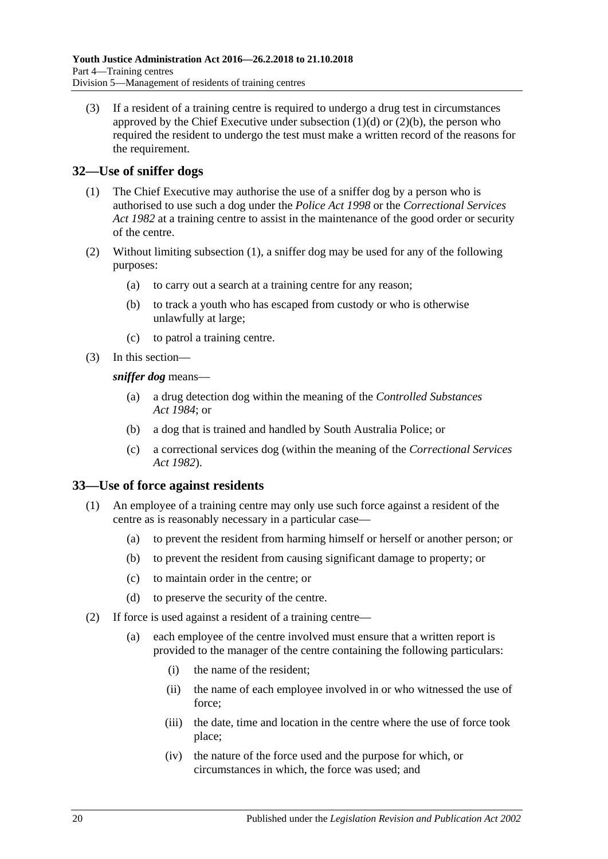(3) If a resident of a training centre is required to undergo a drug test in circumstances approved by the Chief Executive under [subsection](#page-18-1)  $(1)(d)$  or  $(2)(b)$ , the person who required the resident to undergo the test must make a written record of the reasons for the requirement.

## <span id="page-19-2"></span><span id="page-19-0"></span>**32—Use of sniffer dogs**

- (1) The Chief Executive may authorise the use of a sniffer dog by a person who is authorised to use such a dog under the *[Police Act](http://www.legislation.sa.gov.au/index.aspx?action=legref&type=act&legtitle=Police%20Act%201998) 1998* or the *[Correctional Services](http://www.legislation.sa.gov.au/index.aspx?action=legref&type=act&legtitle=Correctional%20Services%20Act%201982)  Act [1982](http://www.legislation.sa.gov.au/index.aspx?action=legref&type=act&legtitle=Correctional%20Services%20Act%201982)* at a training centre to assist in the maintenance of the good order or security of the centre.
- (2) Without limiting [subsection](#page-19-2) (1), a sniffer dog may be used for any of the following purposes:
	- (a) to carry out a search at a training centre for any reason;
	- (b) to track a youth who has escaped from custody or who is otherwise unlawfully at large;
	- (c) to patrol a training centre.
- (3) In this section—

*sniffer dog* means—

- (a) a drug detection dog within the meaning of the *[Controlled Substances](http://www.legislation.sa.gov.au/index.aspx?action=legref&type=act&legtitle=Controlled%20Substances%20Act%201984)  Act [1984](http://www.legislation.sa.gov.au/index.aspx?action=legref&type=act&legtitle=Controlled%20Substances%20Act%201984)*; or
- (b) a dog that is trained and handled by South Australia Police; or
- (c) a correctional services dog (within the meaning of the *[Correctional Services](http://www.legislation.sa.gov.au/index.aspx?action=legref&type=act&legtitle=Correctional%20Services%20Act%201982)  Act [1982](http://www.legislation.sa.gov.au/index.aspx?action=legref&type=act&legtitle=Correctional%20Services%20Act%201982)*).

#### <span id="page-19-1"></span>**33—Use of force against residents**

- (1) An employee of a training centre may only use such force against a resident of the centre as is reasonably necessary in a particular case—
	- (a) to prevent the resident from harming himself or herself or another person; or
	- (b) to prevent the resident from causing significant damage to property; or
	- (c) to maintain order in the centre; or
	- (d) to preserve the security of the centre.
- <span id="page-19-3"></span>(2) If force is used against a resident of a training centre—
	- (a) each employee of the centre involved must ensure that a written report is provided to the manager of the centre containing the following particulars:
		- (i) the name of the resident;
		- (ii) the name of each employee involved in or who witnessed the use of force;
		- (iii) the date, time and location in the centre where the use of force took place;
		- (iv) the nature of the force used and the purpose for which, or circumstances in which, the force was used; and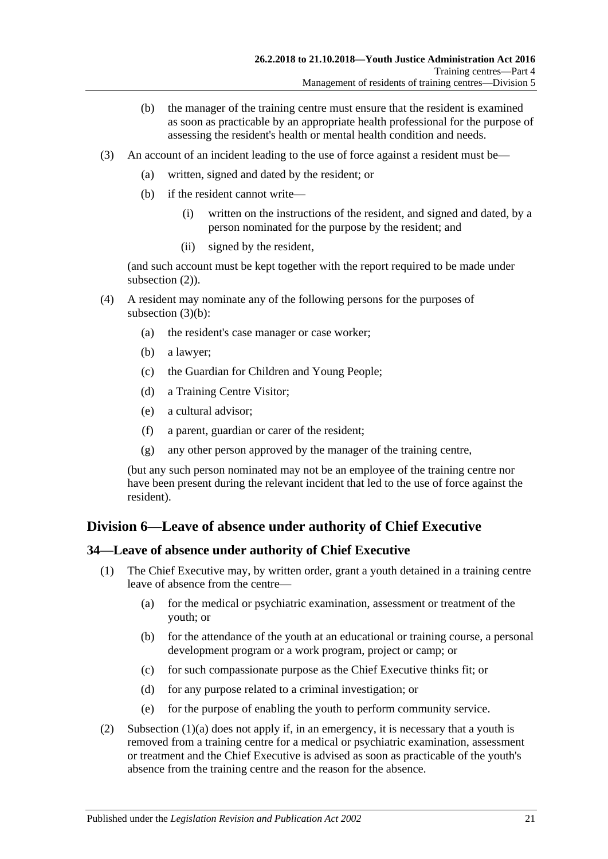- (b) the manager of the training centre must ensure that the resident is examined as soon as practicable by an appropriate health professional for the purpose of assessing the resident's health or mental health condition and needs.
- <span id="page-20-2"></span>(3) An account of an incident leading to the use of force against a resident must be—
	- (a) written, signed and dated by the resident; or
	- (b) if the resident cannot write—
		- (i) written on the instructions of the resident, and signed and dated, by a person nominated for the purpose by the resident; and
		- (ii) signed by the resident,

(and such account must be kept together with the report required to be made under [subsection](#page-19-3)  $(2)$ ).

- (4) A resident may nominate any of the following persons for the purposes of [subsection](#page-20-2)  $(3)(b)$ :
	- (a) the resident's case manager or case worker;
	- (b) a lawyer;
	- (c) the Guardian for Children and Young People;
	- (d) a Training Centre Visitor;
	- (e) a cultural advisor;
	- (f) a parent, guardian or carer of the resident;
	- (g) any other person approved by the manager of the training centre,

(but any such person nominated may not be an employee of the training centre nor have been present during the relevant incident that led to the use of force against the resident).

## <span id="page-20-0"></span>**Division 6—Leave of absence under authority of Chief Executive**

#### <span id="page-20-1"></span>**34—Leave of absence under authority of Chief Executive**

- <span id="page-20-3"></span>(1) The Chief Executive may, by written order, grant a youth detained in a training centre leave of absence from the centre—
	- (a) for the medical or psychiatric examination, assessment or treatment of the youth; or
	- (b) for the attendance of the youth at an educational or training course, a personal development program or a work program, project or camp; or
	- (c) for such compassionate purpose as the Chief Executive thinks fit; or
	- (d) for any purpose related to a criminal investigation; or
	- (e) for the purpose of enabling the youth to perform community service.
- (2) [Subsection \(1\)\(a\)](#page-20-3) does not apply if, in an emergency, it is necessary that a youth is removed from a training centre for a medical or psychiatric examination, assessment or treatment and the Chief Executive is advised as soon as practicable of the youth's absence from the training centre and the reason for the absence.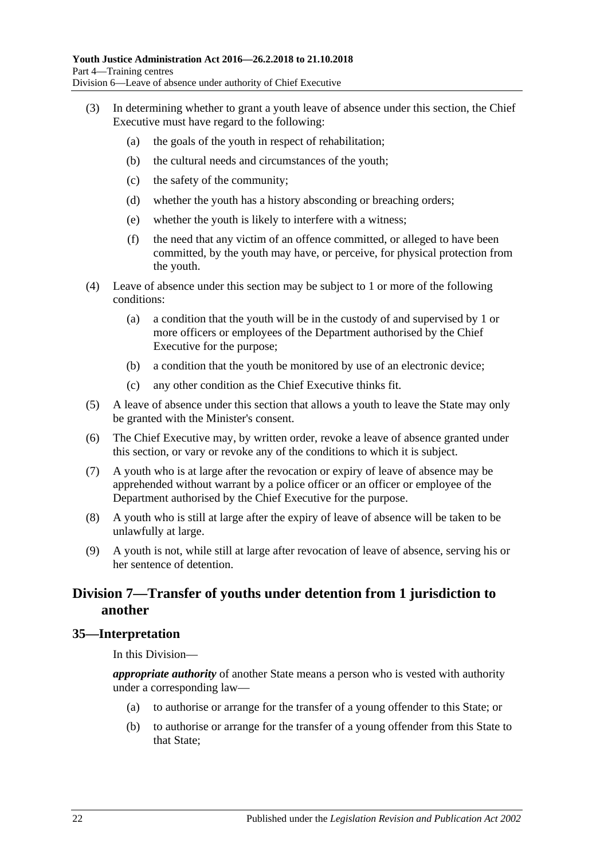- (3) In determining whether to grant a youth leave of absence under this section, the Chief Executive must have regard to the following:
	- (a) the goals of the youth in respect of rehabilitation;
	- (b) the cultural needs and circumstances of the youth;
	- (c) the safety of the community;
	- (d) whether the youth has a history absconding or breaching orders;
	- (e) whether the youth is likely to interfere with a witness;
	- (f) the need that any victim of an offence committed, or alleged to have been committed, by the youth may have, or perceive, for physical protection from the youth.
- (4) Leave of absence under this section may be subject to 1 or more of the following conditions:
	- (a) a condition that the youth will be in the custody of and supervised by 1 or more officers or employees of the Department authorised by the Chief Executive for the purpose;
	- (b) a condition that the youth be monitored by use of an electronic device;
	- (c) any other condition as the Chief Executive thinks fit.
- (5) A leave of absence under this section that allows a youth to leave the State may only be granted with the Minister's consent.
- (6) The Chief Executive may, by written order, revoke a leave of absence granted under this section, or vary or revoke any of the conditions to which it is subject.
- (7) A youth who is at large after the revocation or expiry of leave of absence may be apprehended without warrant by a police officer or an officer or employee of the Department authorised by the Chief Executive for the purpose.
- (8) A youth who is still at large after the expiry of leave of absence will be taken to be unlawfully at large.
- (9) A youth is not, while still at large after revocation of leave of absence, serving his or her sentence of detention.

## <span id="page-21-0"></span>**Division 7—Transfer of youths under detention from 1 jurisdiction to another**

#### <span id="page-21-1"></span>**35—Interpretation**

In this Division—

*appropriate authority* of another State means a person who is vested with authority under a corresponding law—

- (a) to authorise or arrange for the transfer of a young offender to this State; or
- (b) to authorise or arrange for the transfer of a young offender from this State to that State;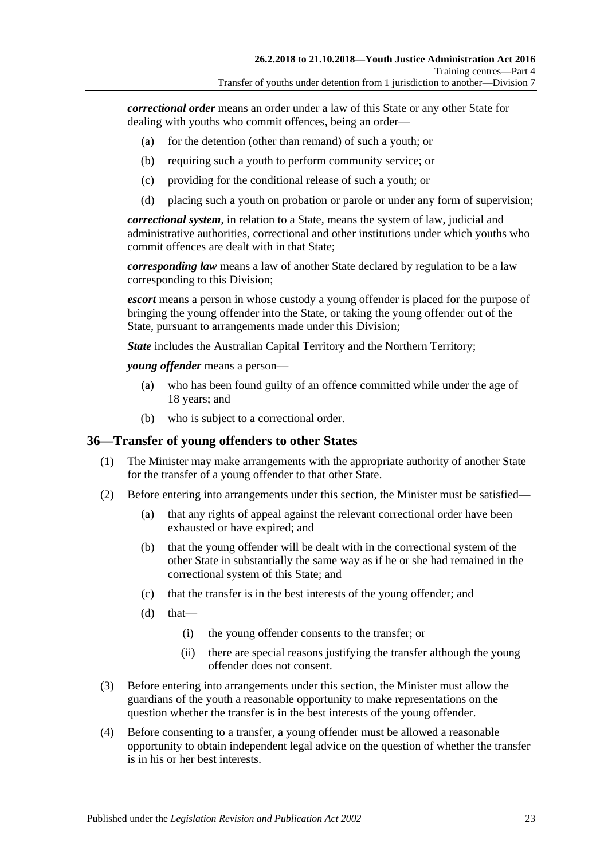*correctional order* means an order under a law of this State or any other State for dealing with youths who commit offences, being an order—

- (a) for the detention (other than remand) of such a youth; or
- (b) requiring such a youth to perform community service; or
- (c) providing for the conditional release of such a youth; or
- (d) placing such a youth on probation or parole or under any form of supervision;

*correctional system*, in relation to a State, means the system of law, judicial and administrative authorities, correctional and other institutions under which youths who commit offences are dealt with in that State;

*corresponding law* means a law of another State declared by regulation to be a law corresponding to this Division;

*escort* means a person in whose custody a young offender is placed for the purpose of bringing the young offender into the State, or taking the young offender out of the State, pursuant to arrangements made under this Division;

*State* includes the Australian Capital Territory and the Northern Territory;

*young offender* means a person—

- (a) who has been found guilty of an offence committed while under the age of 18 years; and
- (b) who is subject to a correctional order.

#### <span id="page-22-0"></span>**36—Transfer of young offenders to other States**

- (1) The Minister may make arrangements with the appropriate authority of another State for the transfer of a young offender to that other State.
- (2) Before entering into arrangements under this section, the Minister must be satisfied—
	- (a) that any rights of appeal against the relevant correctional order have been exhausted or have expired; and
	- (b) that the young offender will be dealt with in the correctional system of the other State in substantially the same way as if he or she had remained in the correctional system of this State; and
	- (c) that the transfer is in the best interests of the young offender; and
	- $(d)$  that—
		- (i) the young offender consents to the transfer; or
		- (ii) there are special reasons justifying the transfer although the young offender does not consent.
- (3) Before entering into arrangements under this section, the Minister must allow the guardians of the youth a reasonable opportunity to make representations on the question whether the transfer is in the best interests of the young offender.
- (4) Before consenting to a transfer, a young offender must be allowed a reasonable opportunity to obtain independent legal advice on the question of whether the transfer is in his or her best interests.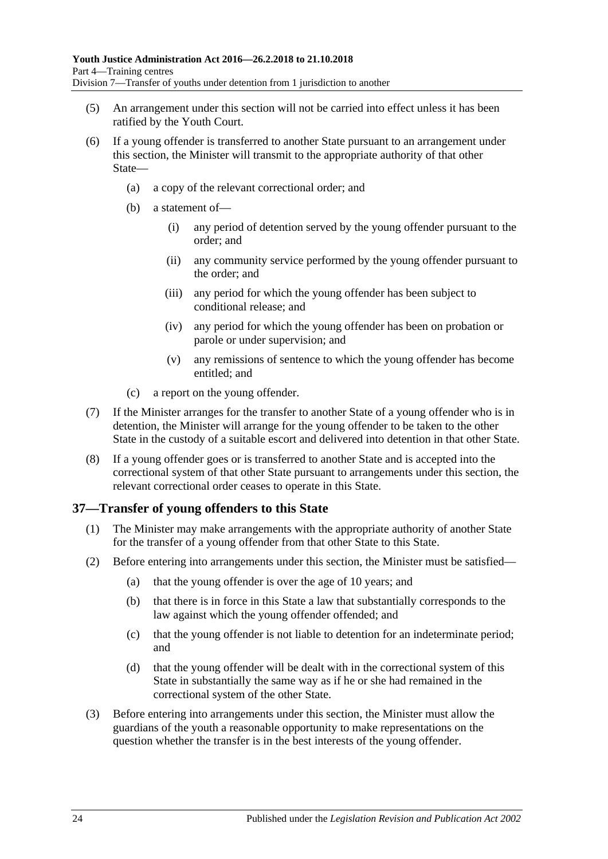- (5) An arrangement under this section will not be carried into effect unless it has been ratified by the Youth Court.
- (6) If a young offender is transferred to another State pursuant to an arrangement under this section, the Minister will transmit to the appropriate authority of that other State—
	- (a) a copy of the relevant correctional order; and
	- (b) a statement of—
		- (i) any period of detention served by the young offender pursuant to the order; and
		- (ii) any community service performed by the young offender pursuant to the order; and
		- (iii) any period for which the young offender has been subject to conditional release; and
		- (iv) any period for which the young offender has been on probation or parole or under supervision; and
		- (v) any remissions of sentence to which the young offender has become entitled; and
	- (c) a report on the young offender.
- (7) If the Minister arranges for the transfer to another State of a young offender who is in detention, the Minister will arrange for the young offender to be taken to the other State in the custody of a suitable escort and delivered into detention in that other State.
- (8) If a young offender goes or is transferred to another State and is accepted into the correctional system of that other State pursuant to arrangements under this section, the relevant correctional order ceases to operate in this State.

#### <span id="page-23-0"></span>**37—Transfer of young offenders to this State**

- (1) The Minister may make arrangements with the appropriate authority of another State for the transfer of a young offender from that other State to this State.
- (2) Before entering into arrangements under this section, the Minister must be satisfied—
	- (a) that the young offender is over the age of 10 years; and
	- (b) that there is in force in this State a law that substantially corresponds to the law against which the young offender offended; and
	- (c) that the young offender is not liable to detention for an indeterminate period; and
	- (d) that the young offender will be dealt with in the correctional system of this State in substantially the same way as if he or she had remained in the correctional system of the other State.
- (3) Before entering into arrangements under this section, the Minister must allow the guardians of the youth a reasonable opportunity to make representations on the question whether the transfer is in the best interests of the young offender.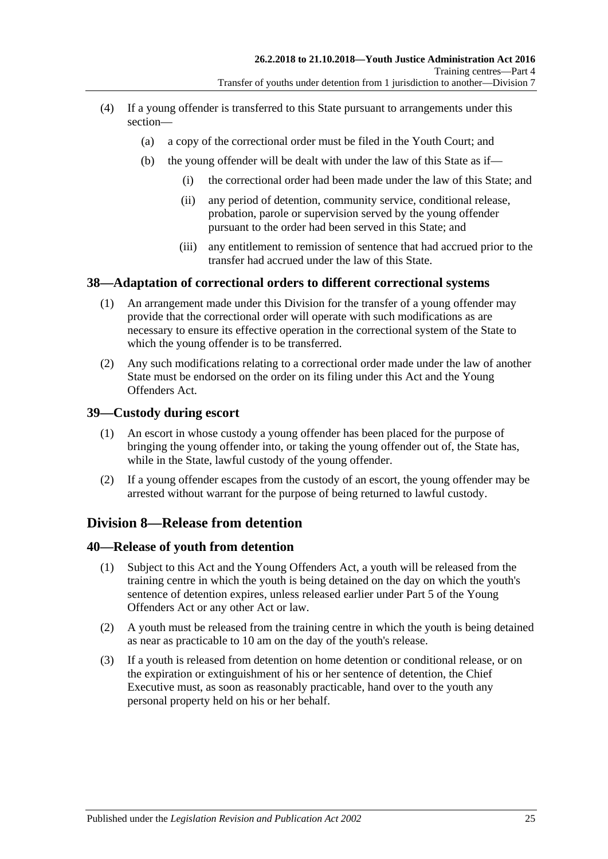- (4) If a young offender is transferred to this State pursuant to arrangements under this section—
	- (a) a copy of the correctional order must be filed in the Youth Court; and
	- (b) the young offender will be dealt with under the law of this State as if—
		- (i) the correctional order had been made under the law of this State; and
		- (ii) any period of detention, community service, conditional release, probation, parole or supervision served by the young offender pursuant to the order had been served in this State; and
		- (iii) any entitlement to remission of sentence that had accrued prior to the transfer had accrued under the law of this State.

## <span id="page-24-0"></span>**38—Adaptation of correctional orders to different correctional systems**

- (1) An arrangement made under this Division for the transfer of a young offender may provide that the correctional order will operate with such modifications as are necessary to ensure its effective operation in the correctional system of the State to which the young offender is to be transferred.
- (2) Any such modifications relating to a correctional order made under the law of another State must be endorsed on the order on its filing under this Act and the Young Offenders Act.

#### <span id="page-24-1"></span>**39—Custody during escort**

- (1) An escort in whose custody a young offender has been placed for the purpose of bringing the young offender into, or taking the young offender out of, the State has, while in the State, lawful custody of the young offender.
- (2) If a young offender escapes from the custody of an escort, the young offender may be arrested without warrant for the purpose of being returned to lawful custody.

## <span id="page-24-2"></span>**Division 8—Release from detention**

#### <span id="page-24-3"></span>**40—Release of youth from detention**

- (1) Subject to this Act and the Young Offenders Act, a youth will be released from the training centre in which the youth is being detained on the day on which the youth's sentence of detention expires, unless released earlier under Part 5 of the Young Offenders Act or any other Act or law.
- (2) A youth must be released from the training centre in which the youth is being detained as near as practicable to 10 am on the day of the youth's release.
- (3) If a youth is released from detention on home detention or conditional release, or on the expiration or extinguishment of his or her sentence of detention, the Chief Executive must, as soon as reasonably practicable, hand over to the youth any personal property held on his or her behalf.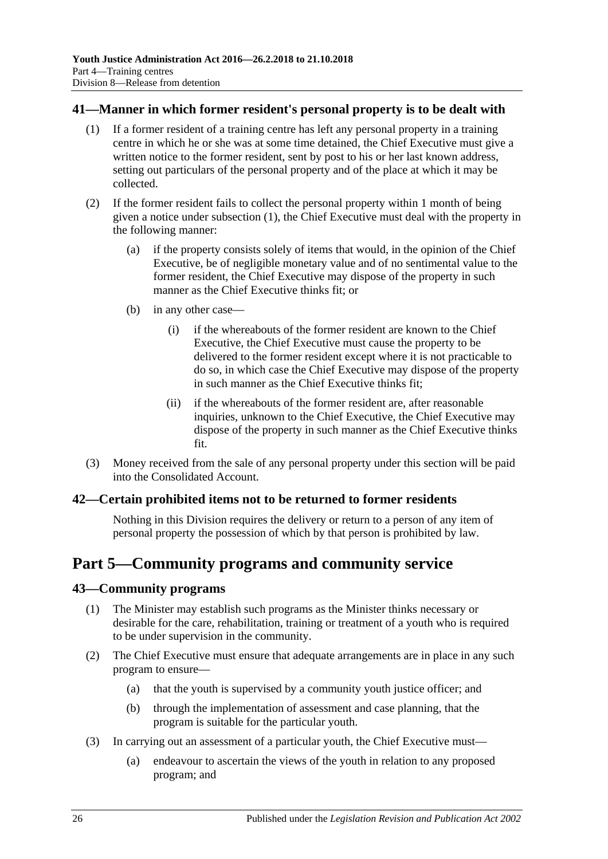#### <span id="page-25-4"></span><span id="page-25-0"></span>**41—Manner in which former resident's personal property is to be dealt with**

- (1) If a former resident of a training centre has left any personal property in a training centre in which he or she was at some time detained, the Chief Executive must give a written notice to the former resident, sent by post to his or her last known address, setting out particulars of the personal property and of the place at which it may be collected.
- (2) If the former resident fails to collect the personal property within 1 month of being given a notice under [subsection](#page-25-4) (1), the Chief Executive must deal with the property in the following manner:
	- (a) if the property consists solely of items that would, in the opinion of the Chief Executive, be of negligible monetary value and of no sentimental value to the former resident, the Chief Executive may dispose of the property in such manner as the Chief Executive thinks fit; or
	- (b) in any other case—
		- (i) if the whereabouts of the former resident are known to the Chief Executive, the Chief Executive must cause the property to be delivered to the former resident except where it is not practicable to do so, in which case the Chief Executive may dispose of the property in such manner as the Chief Executive thinks fit;
		- (ii) if the whereabouts of the former resident are, after reasonable inquiries, unknown to the Chief Executive, the Chief Executive may dispose of the property in such manner as the Chief Executive thinks fit.
- (3) Money received from the sale of any personal property under this section will be paid into the Consolidated Account.

#### <span id="page-25-1"></span>**42—Certain prohibited items not to be returned to former residents**

Nothing in this Division requires the delivery or return to a person of any item of personal property the possession of which by that person is prohibited by law.

## <span id="page-25-2"></span>**Part 5—Community programs and community service**

#### <span id="page-25-3"></span>**43—Community programs**

- (1) The Minister may establish such programs as the Minister thinks necessary or desirable for the care, rehabilitation, training or treatment of a youth who is required to be under supervision in the community.
- (2) The Chief Executive must ensure that adequate arrangements are in place in any such program to ensure—
	- (a) that the youth is supervised by a community youth justice officer; and
	- (b) through the implementation of assessment and case planning, that the program is suitable for the particular youth.
- (3) In carrying out an assessment of a particular youth, the Chief Executive must—
	- (a) endeavour to ascertain the views of the youth in relation to any proposed program; and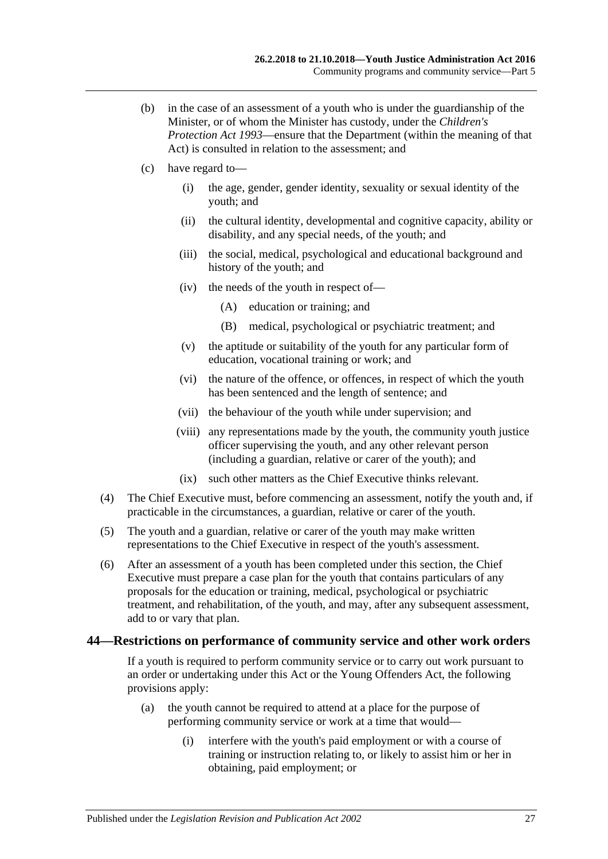- (b) in the case of an assessment of a youth who is under the guardianship of the Minister, or of whom the Minister has custody, under the *[Children's](http://www.legislation.sa.gov.au/index.aspx?action=legref&type=act&legtitle=Childrens%20Protection%20Act%201993)  [Protection Act](http://www.legislation.sa.gov.au/index.aspx?action=legref&type=act&legtitle=Childrens%20Protection%20Act%201993) 1993*—ensure that the Department (within the meaning of that Act) is consulted in relation to the assessment; and
- (c) have regard to—
	- (i) the age, gender, gender identity, sexuality or sexual identity of the youth; and
	- (ii) the cultural identity, developmental and cognitive capacity, ability or disability, and any special needs, of the youth; and
	- (iii) the social, medical, psychological and educational background and history of the youth; and
	- (iv) the needs of the youth in respect of—
		- (A) education or training; and
		- (B) medical, psychological or psychiatric treatment; and
	- (v) the aptitude or suitability of the youth for any particular form of education, vocational training or work; and
	- (vi) the nature of the offence, or offences, in respect of which the youth has been sentenced and the length of sentence; and
	- (vii) the behaviour of the youth while under supervision; and
	- (viii) any representations made by the youth, the community youth justice officer supervising the youth, and any other relevant person (including a guardian, relative or carer of the youth); and
	- (ix) such other matters as the Chief Executive thinks relevant.
- (4) The Chief Executive must, before commencing an assessment, notify the youth and, if practicable in the circumstances, a guardian, relative or carer of the youth.
- (5) The youth and a guardian, relative or carer of the youth may make written representations to the Chief Executive in respect of the youth's assessment.
- (6) After an assessment of a youth has been completed under this section, the Chief Executive must prepare a case plan for the youth that contains particulars of any proposals for the education or training, medical, psychological or psychiatric treatment, and rehabilitation, of the youth, and may, after any subsequent assessment, add to or vary that plan.

#### <span id="page-26-0"></span>**44—Restrictions on performance of community service and other work orders**

If a youth is required to perform community service or to carry out work pursuant to an order or undertaking under this Act or the Young Offenders Act, the following provisions apply:

- (a) the youth cannot be required to attend at a place for the purpose of performing community service or work at a time that would—
	- (i) interfere with the youth's paid employment or with a course of training or instruction relating to, or likely to assist him or her in obtaining, paid employment; or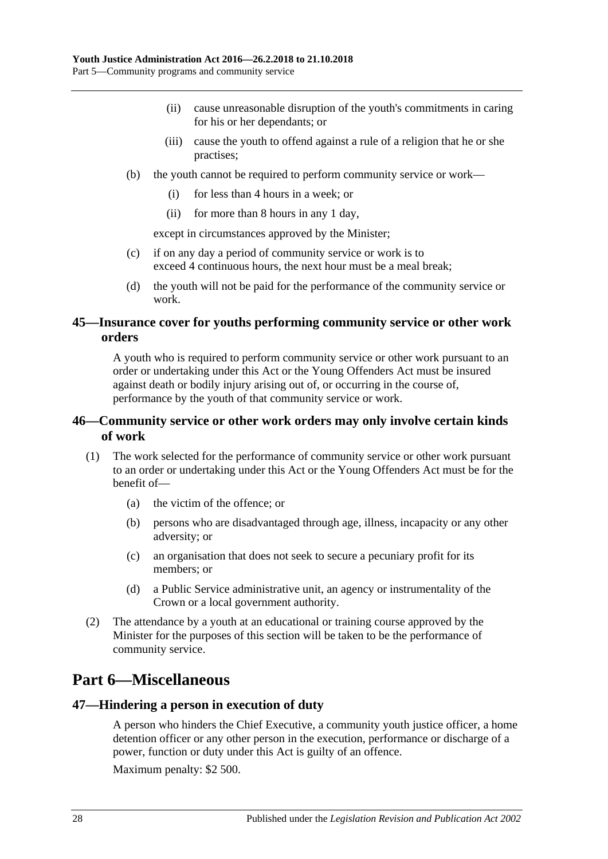- (ii) cause unreasonable disruption of the youth's commitments in caring for his or her dependants; or
- (iii) cause the youth to offend against a rule of a religion that he or she practises;
- (b) the youth cannot be required to perform community service or work—
	- (i) for less than 4 hours in a week; or
	- (ii) for more than 8 hours in any 1 day,

except in circumstances approved by the Minister;

- (c) if on any day a period of community service or work is to exceed 4 continuous hours, the next hour must be a meal break;
- (d) the youth will not be paid for the performance of the community service or work.

### <span id="page-27-0"></span>**45—Insurance cover for youths performing community service or other work orders**

A youth who is required to perform community service or other work pursuant to an order or undertaking under this Act or the Young Offenders Act must be insured against death or bodily injury arising out of, or occurring in the course of, performance by the youth of that community service or work.

## <span id="page-27-1"></span>**46—Community service or other work orders may only involve certain kinds of work**

- (1) The work selected for the performance of community service or other work pursuant to an order or undertaking under this Act or the Young Offenders Act must be for the benefit of—
	- (a) the victim of the offence; or
	- (b) persons who are disadvantaged through age, illness, incapacity or any other adversity; or
	- (c) an organisation that does not seek to secure a pecuniary profit for its members; or
	- (d) a Public Service administrative unit, an agency or instrumentality of the Crown or a local government authority.
- (2) The attendance by a youth at an educational or training course approved by the Minister for the purposes of this section will be taken to be the performance of community service.

## <span id="page-27-2"></span>**Part 6—Miscellaneous**

#### <span id="page-27-3"></span>**47—Hindering a person in execution of duty**

A person who hinders the Chief Executive, a community youth justice officer, a home detention officer or any other person in the execution, performance or discharge of a power, function or duty under this Act is guilty of an offence.

Maximum penalty: \$2 500.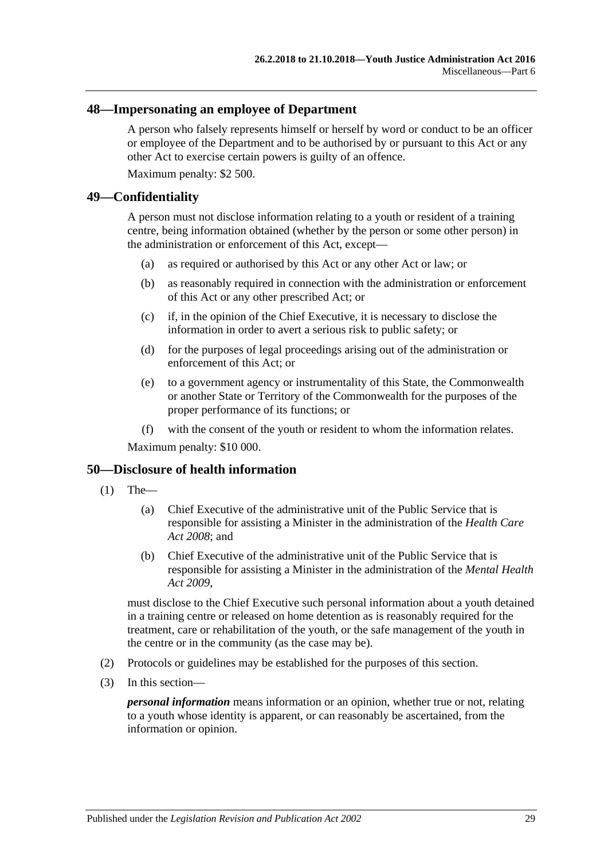#### <span id="page-28-0"></span>**48—Impersonating an employee of Department**

A person who falsely represents himself or herself by word or conduct to be an officer or employee of the Department and to be authorised by or pursuant to this Act or any other Act to exercise certain powers is guilty of an offence.

Maximum penalty: \$2 500.

#### <span id="page-28-1"></span>**49—Confidentiality**

A person must not disclose information relating to a youth or resident of a training centre, being information obtained (whether by the person or some other person) in the administration or enforcement of this Act, except—

- (a) as required or authorised by this Act or any other Act or law; or
- (b) as reasonably required in connection with the administration or enforcement of this Act or any other prescribed Act; or
- (c) if, in the opinion of the Chief Executive, it is necessary to disclose the information in order to avert a serious risk to public safety; or
- (d) for the purposes of legal proceedings arising out of the administration or enforcement of this Act; or
- (e) to a government agency or instrumentality of this State, the Commonwealth or another State or Territory of the Commonwealth for the purposes of the proper performance of its functions; or
- (f) with the consent of the youth or resident to whom the information relates.

Maximum penalty: \$10 000.

#### <span id="page-28-2"></span>**50—Disclosure of health information**

- $(1)$  The—
	- (a) Chief Executive of the administrative unit of the Public Service that is responsible for assisting a Minister in the administration of the *[Health Care](http://www.legislation.sa.gov.au/index.aspx?action=legref&type=act&legtitle=Health%20Care%20Act%202008)  Act [2008](http://www.legislation.sa.gov.au/index.aspx?action=legref&type=act&legtitle=Health%20Care%20Act%202008)*; and
	- (b) Chief Executive of the administrative unit of the Public Service that is responsible for assisting a Minister in the administration of the *[Mental Health](http://www.legislation.sa.gov.au/index.aspx?action=legref&type=act&legtitle=Mental%20Health%20Act%202009)  Act [2009](http://www.legislation.sa.gov.au/index.aspx?action=legref&type=act&legtitle=Mental%20Health%20Act%202009)*,

must disclose to the Chief Executive such personal information about a youth detained in a training centre or released on home detention as is reasonably required for the treatment, care or rehabilitation of the youth, or the safe management of the youth in the centre or in the community (as the case may be).

- (2) Protocols or guidelines may be established for the purposes of this section.
- (3) In this section—

*personal information* means information or an opinion, whether true or not, relating to a youth whose identity is apparent, or can reasonably be ascertained, from the information or opinion.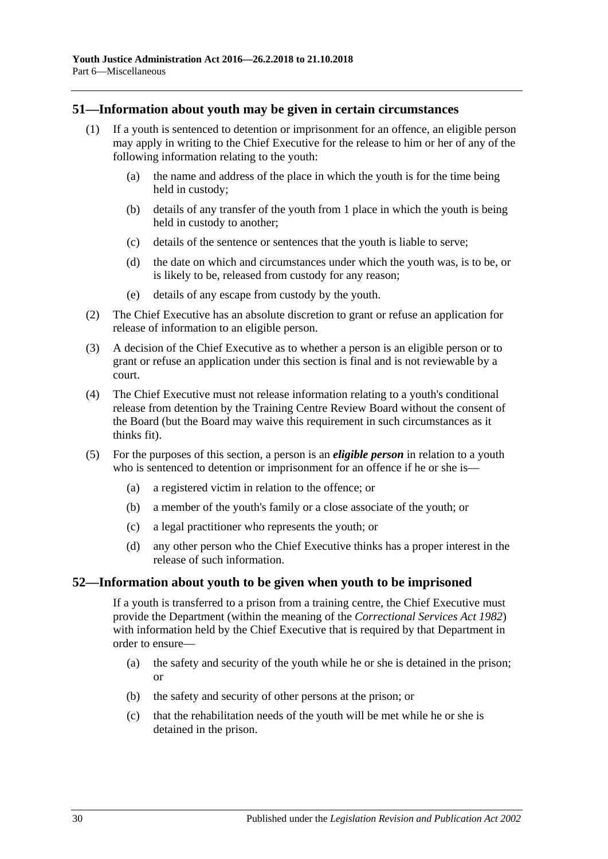#### <span id="page-29-0"></span>**51—Information about youth may be given in certain circumstances**

- (1) If a youth is sentenced to detention or imprisonment for an offence, an eligible person may apply in writing to the Chief Executive for the release to him or her of any of the following information relating to the youth:
	- (a) the name and address of the place in which the youth is for the time being held in custody;
	- (b) details of any transfer of the youth from 1 place in which the youth is being held in custody to another;
	- (c) details of the sentence or sentences that the youth is liable to serve;
	- (d) the date on which and circumstances under which the youth was, is to be, or is likely to be, released from custody for any reason;
	- (e) details of any escape from custody by the youth.
- (2) The Chief Executive has an absolute discretion to grant or refuse an application for release of information to an eligible person.
- (3) A decision of the Chief Executive as to whether a person is an eligible person or to grant or refuse an application under this section is final and is not reviewable by a court.
- (4) The Chief Executive must not release information relating to a youth's conditional release from detention by the Training Centre Review Board without the consent of the Board (but the Board may waive this requirement in such circumstances as it thinks fit).
- (5) For the purposes of this section, a person is an *eligible person* in relation to a youth who is sentenced to detention or imprisonment for an offence if he or she is—
	- (a) a registered victim in relation to the offence; or
	- (b) a member of the youth's family or a close associate of the youth; or
	- (c) a legal practitioner who represents the youth; or
	- (d) any other person who the Chief Executive thinks has a proper interest in the release of such information.

#### <span id="page-29-1"></span>**52—Information about youth to be given when youth to be imprisoned**

If a youth is transferred to a prison from a training centre, the Chief Executive must provide the Department (within the meaning of the *[Correctional Services Act](http://www.legislation.sa.gov.au/index.aspx?action=legref&type=act&legtitle=Correctional%20Services%20Act%201982) 1982*) with information held by the Chief Executive that is required by that Department in order to ensure—

- (a) the safety and security of the youth while he or she is detained in the prison; or
- (b) the safety and security of other persons at the prison; or
- (c) that the rehabilitation needs of the youth will be met while he or she is detained in the prison.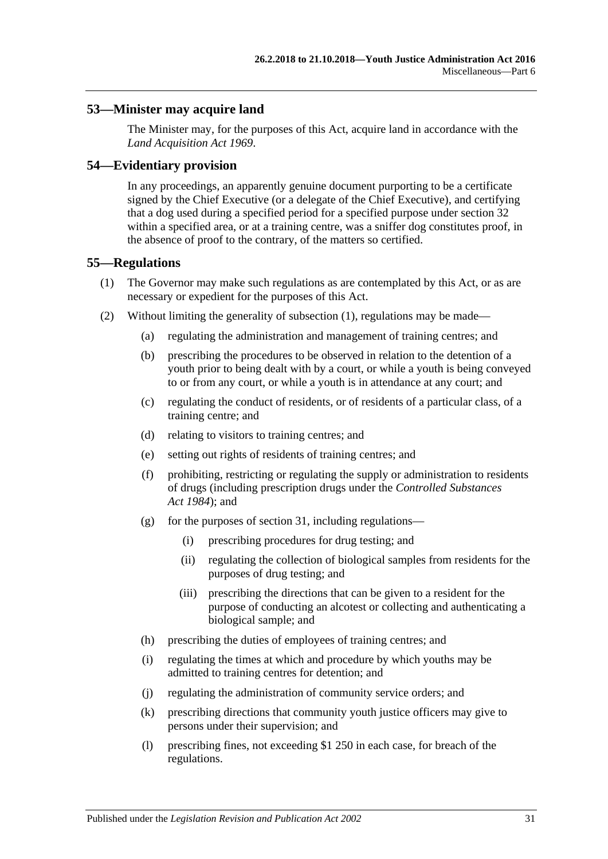### <span id="page-30-0"></span>**53—Minister may acquire land**

The Minister may, for the purposes of this Act, acquire land in accordance with the *[Land Acquisition Act](http://www.legislation.sa.gov.au/index.aspx?action=legref&type=act&legtitle=Land%20Acquisition%20Act%201969) 1969*.

#### <span id="page-30-1"></span>**54—Evidentiary provision**

In any proceedings, an apparently genuine document purporting to be a certificate signed by the Chief Executive (or a delegate of the Chief Executive), and certifying that a dog used during a specified period for a specified purpose under [section](#page-19-0) 32 within a specified area, or at a training centre, was a sniffer dog constitutes proof, in the absence of proof to the contrary, of the matters so certified.

#### <span id="page-30-3"></span><span id="page-30-2"></span>**55—Regulations**

- (1) The Governor may make such regulations as are contemplated by this Act, or as are necessary or expedient for the purposes of this Act.
- (2) Without limiting the generality of [subsection](#page-30-3) (1), regulations may be made—
	- (a) regulating the administration and management of training centres; and
	- (b) prescribing the procedures to be observed in relation to the detention of a youth prior to being dealt with by a court, or while a youth is being conveyed to or from any court, or while a youth is in attendance at any court; and
	- (c) regulating the conduct of residents, or of residents of a particular class, of a training centre; and
	- (d) relating to visitors to training centres; and
	- (e) setting out rights of residents of training centres; and
	- (f) prohibiting, restricting or regulating the supply or administration to residents of drugs (including prescription drugs under the *[Controlled Substances](http://www.legislation.sa.gov.au/index.aspx?action=legref&type=act&legtitle=Controlled%20Substances%20Act%201984)  Act [1984](http://www.legislation.sa.gov.au/index.aspx?action=legref&type=act&legtitle=Controlled%20Substances%20Act%201984)*); and
	- (g) for the purposes of [section](#page-18-0) 31, including regulations—
		- (i) prescribing procedures for drug testing; and
		- (ii) regulating the collection of biological samples from residents for the purposes of drug testing; and
		- (iii) prescribing the directions that can be given to a resident for the purpose of conducting an alcotest or collecting and authenticating a biological sample; and
	- (h) prescribing the duties of employees of training centres; and
	- (i) regulating the times at which and procedure by which youths may be admitted to training centres for detention; and
	- (j) regulating the administration of community service orders; and
	- (k) prescribing directions that community youth justice officers may give to persons under their supervision; and
	- (l) prescribing fines, not exceeding \$1 250 in each case, for breach of the regulations.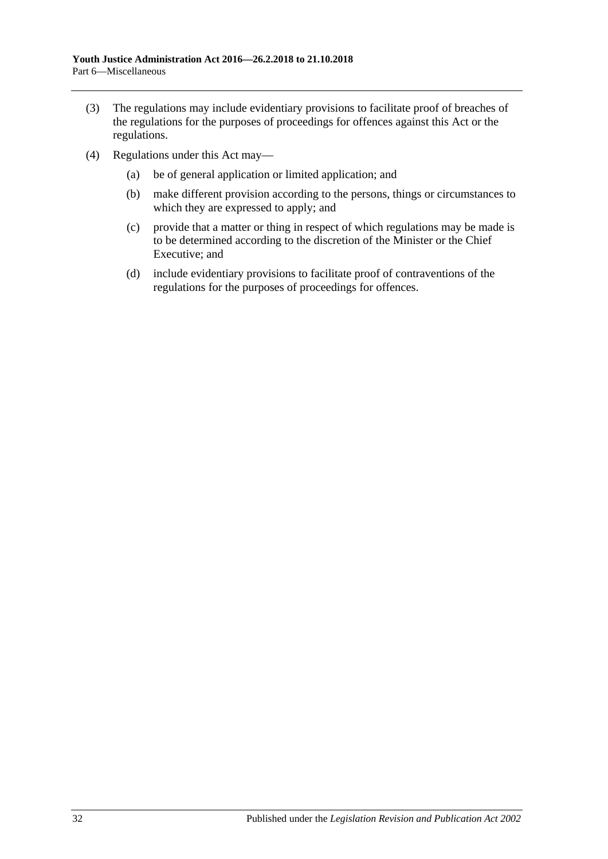- (3) The regulations may include evidentiary provisions to facilitate proof of breaches of the regulations for the purposes of proceedings for offences against this Act or the regulations.
- (4) Regulations under this Act may—
	- (a) be of general application or limited application; and
	- (b) make different provision according to the persons, things or circumstances to which they are expressed to apply; and
	- (c) provide that a matter or thing in respect of which regulations may be made is to be determined according to the discretion of the Minister or the Chief Executive; and
	- (d) include evidentiary provisions to facilitate proof of contraventions of the regulations for the purposes of proceedings for offences.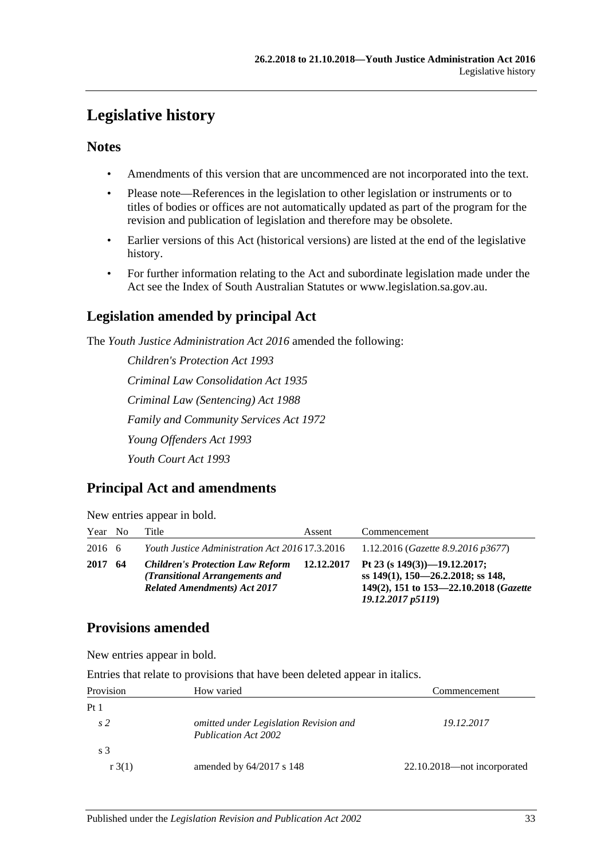## <span id="page-32-0"></span>**Legislative history**

## **Notes**

- Amendments of this version that are uncommenced are not incorporated into the text.
- Please note—References in the legislation to other legislation or instruments or to titles of bodies or offices are not automatically updated as part of the program for the revision and publication of legislation and therefore may be obsolete.
- Earlier versions of this Act (historical versions) are listed at the end of the legislative history.
- For further information relating to the Act and subordinate legislation made under the Act see the Index of South Australian Statutes or www.legislation.sa.gov.au.

## **Legislation amended by principal Act**

The *Youth Justice Administration Act 2016* amended the following:

*Children's Protection Act 1993 Criminal Law Consolidation Act 1935 Criminal Law (Sentencing) Act 1988 Family and Community Services Act 1972 Young Offenders Act 1993 Youth Court Act 1993*

## **Principal Act and amendments**

|  | New entries appear in bold. |  |
|--|-----------------------------|--|
|  |                             |  |

| Year No | Title                                                                                                            | Assent | Commencement                                                                                                                                        |
|---------|------------------------------------------------------------------------------------------------------------------|--------|-----------------------------------------------------------------------------------------------------------------------------------------------------|
| 2016 6  | Youth Justice Administration Act 2016 17.3.2016                                                                  |        | 1.12.2016 (Gazette 8.9.2016 p3677)                                                                                                                  |
| 2017 64 | <b>Children's Protection Law Reform</b><br>(Transitional Arrangements and<br><b>Related Amendments) Act 2017</b> |        | 12.12.2017 Pt 23 (s $149(3)$ )-19.12.2017;<br>ss $149(1)$ , $150-26.2.2018$ ; ss 148,<br>149(2), 151 to 153-22.10.2018 (Gazette<br>19.12.2017 p5119 |

## **Provisions amended**

New entries appear in bold.

Entries that relate to provisions that have been deleted appear in italics.

| Provision       | How varied                                                            | Commencement                |  |
|-----------------|-----------------------------------------------------------------------|-----------------------------|--|
| Pt <sub>1</sub> |                                                                       |                             |  |
| s2              | omitted under Legislation Revision and<br><b>Publication Act 2002</b> | 19.12.2017                  |  |
| s <sub>3</sub>  |                                                                       |                             |  |
| r3(1)           | amended by $64/2017$ s 148                                            | 22.10.2018—not incorporated |  |